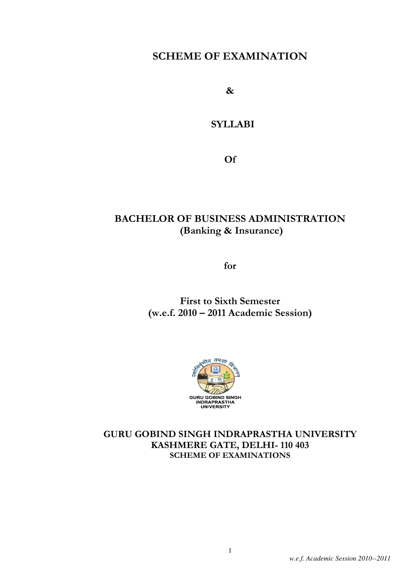## SCHEME OF EXAMINATION

&

## **SYLLABI**

Of

## BACHELOR OF BUSINESS ADMINISTRATION (Banking & Insurance)

for

## First to Sixth Semester (w.e.f. 2010 – 2011 Academic Session)



### GURU GOBIND SINGH INDRAPRASTHA UNIVERSITY KASHMERE GATE, DELHI- 110 403 SCHEME OF EXAMINATIONS

1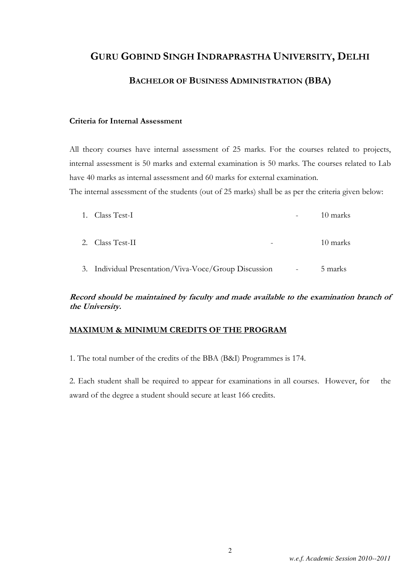## GURU GOBIND SINGH INDRAPRASTHA UNIVERSITY, DELHI

## BACHELOR OF BUSINESS ADMINISTRATION (BBA)

### Criteria for Internal Assessment

All theory courses have internal assessment of 25 marks. For the courses related to projects, internal assessment is 50 marks and external examination is 50 marks. The courses related to Lab have 40 marks as internal assessment and 60 marks for external examination.

The internal assessment of the students (out of 25 marks) shall be as per the criteria given below:

| 1. Class Test-I                                       |                          | 10 marks |
|-------------------------------------------------------|--------------------------|----------|
| 2. Class Test-II                                      |                          | 10 marks |
| 3. Individual Presentation/Viva-Voce/Group Discussion | $\overline{\phantom{a}}$ | 5 marks  |

### Record should be maintained by faculty and made available to the examination branch of the University.

### MAXIMUM & MINIMUM CREDITS OF THE PROGRAM

1. The total number of the credits of the BBA (B&I) Programmes is 174.

2. Each student shall be required to appear for examinations in all courses. However, for the award of the degree a student should secure at least 166 credits.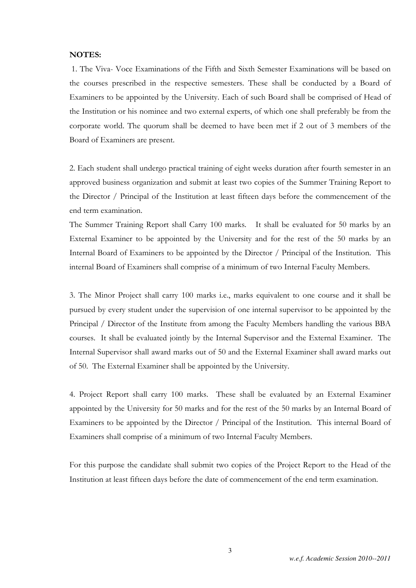### NOTES:

1. The Viva- Voce Examinations of the Fifth and Sixth Semester Examinations will be based on the courses prescribed in the respective semesters. These shall be conducted by a Board of Examiners to be appointed by the University. Each of such Board shall be comprised of Head of the Institution or his nominee and two external experts, of which one shall preferably be from the corporate world. The quorum shall be deemed to have been met if 2 out of 3 members of the Board of Examiners are present.

2. Each student shall undergo practical training of eight weeks duration after fourth semester in an approved business organization and submit at least two copies of the Summer Training Report to the Director / Principal of the Institution at least fifteen days before the commencement of the end term examination.

The Summer Training Report shall Carry 100 marks. It shall be evaluated for 50 marks by an External Examiner to be appointed by the University and for the rest of the 50 marks by an Internal Board of Examiners to be appointed by the Director / Principal of the Institution. This internal Board of Examiners shall comprise of a minimum of two Internal Faculty Members.

3. The Minor Project shall carry 100 marks i.e., marks equivalent to one course and it shall be pursued by every student under the supervision of one internal supervisor to be appointed by the Principal / Director of the Institute from among the Faculty Members handling the various BBA courses. It shall be evaluated jointly by the Internal Supervisor and the External Examiner. The Internal Supervisor shall award marks out of 50 and the External Examiner shall award marks out of 50. The External Examiner shall be appointed by the University.

4. Project Report shall carry 100 marks. These shall be evaluated by an External Examiner appointed by the University for 50 marks and for the rest of the 50 marks by an Internal Board of Examiners to be appointed by the Director / Principal of the Institution. This internal Board of Examiners shall comprise of a minimum of two Internal Faculty Members.

For this purpose the candidate shall submit two copies of the Project Report to the Head of the Institution at least fifteen days before the date of commencement of the end term examination.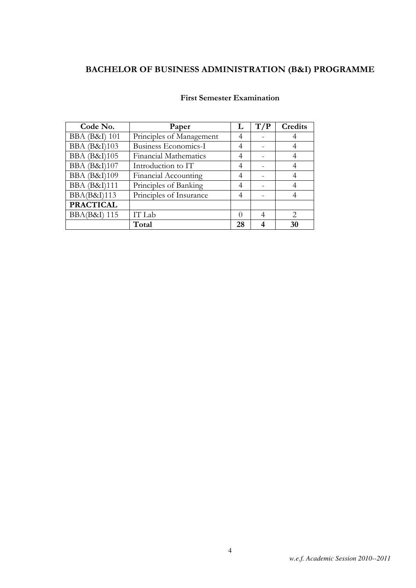| Code No.                          | Paper                        | L        | T/P | Credits                     |
|-----------------------------------|------------------------------|----------|-----|-----------------------------|
| <b>BBA</b> ( <b>B&amp;I</b> ) 101 | Principles of Management     | 4        |     |                             |
| <b>BBA</b> (B&I)103               | Business Economics-I         | 4        |     |                             |
| <b>BBA</b> (B&I)105               | <b>Financial Mathematics</b> | 4        |     |                             |
| <b>BBA</b> ( <b>B&amp;I</b> )107  | Introduction to IT           | 4        |     |                             |
| <b>BBA</b> (B&I)109               | <b>Financial Accounting</b>  | 4        |     |                             |
| <b>BBA</b> ( <b>B&amp;I</b> )111  | Principles of Banking        | 4        |     |                             |
| <b>BBA(B&amp;I)113</b>            | Principles of Insurance      | 4        |     |                             |
| <b>PRACTICAL</b>                  |                              |          |     |                             |
| <b>BBA(B&amp;I)</b> 115           | IT Lab                       | $\Omega$ |     | $\mathcal{D}_{\mathcal{L}}$ |
|                                   | Total                        | 28       |     | 30                          |

### First Semester Examination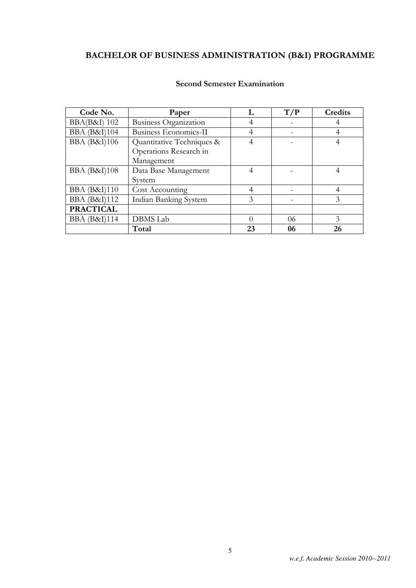| Code No.                         | Paper                        |          | T/P | Credits |
|----------------------------------|------------------------------|----------|-----|---------|
| <b>BBA(B&amp;I)</b> 102          | <b>Business Organization</b> | 4        |     |         |
| <b>BBA</b> ( <b>B&amp;I</b> )104 | <b>Business Economics-II</b> | 4        |     | 4       |
| <b>BBA</b> ( <b>B&amp;I</b> )106 | Quantitative Techniques &    | 4        |     |         |
|                                  | Operations Research in       |          |     |         |
|                                  | Management                   |          |     |         |
| <b>BBA</b> (B&I)108              | Data Base Management         | 4        |     | 4       |
|                                  | System                       |          |     |         |
| <b>BBA</b> ( <b>B&amp;I</b> )110 | Cost Accounting              | 4        |     |         |
| <b>BBA</b> (B&I)112              | <b>Indian Banking System</b> | 3        |     | 3       |
| <b>PRACTICAL</b>                 |                              |          |     |         |
| <b>BBA</b> (B&I)114              | <b>DBMS</b> Lab              | $\Omega$ | 06  | 3       |
|                                  | Total                        | 23       | 06  | 26      |

### Second Semester Examination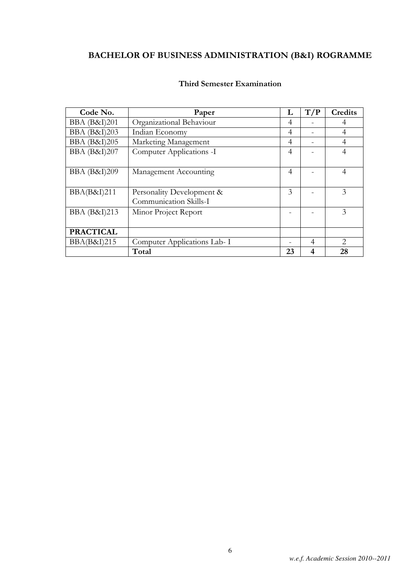| Code No.                         | Paper                                               | L              | T/P | Credits                     |
|----------------------------------|-----------------------------------------------------|----------------|-----|-----------------------------|
| <b>BBA</b> ( <b>B&amp;I</b> )201 | Organizational Behaviour                            | 4              |     | 4                           |
| <b>BBA</b> (B&I)203              | Indian Economy                                      | 4              |     | 4                           |
| <b>BBA</b> (B&I)205              | Marketing Management                                | $\overline{4}$ |     | $\overline{4}$              |
| <b>BBA</b> (B&I)207              | Computer Applications -I                            | 4              |     | 4                           |
| <b>BBA</b> (B&I)209              | Management Accounting                               | $\overline{4}$ |     | $\overline{4}$              |
| BBA(B&I)211                      | Personality Development &<br>Communication Skills-I | 3              |     | 3                           |
| <b>BBA</b> (B&I)213              | Minor Project Report                                |                |     | 3                           |
| <b>PRACTICAL</b>                 |                                                     |                |     |                             |
| <b>BBA(B&amp;I)215</b>           | Computer Applications Lab- I                        |                | 4   | $\mathcal{D}_{\mathcal{L}}$ |
|                                  | Total                                               | 23             | 4   | 28                          |

### Third Semester Examination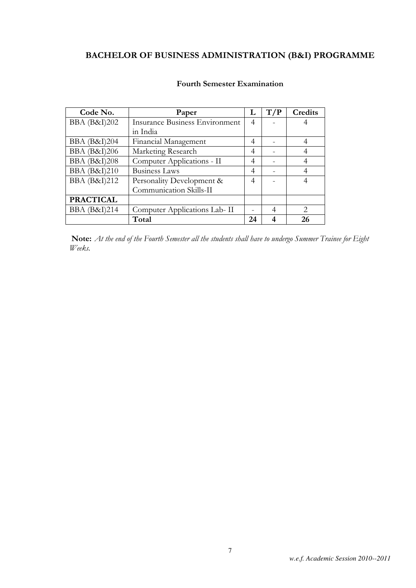| Code No.                         | Paper                                 | L  | T/P | Credits                     |
|----------------------------------|---------------------------------------|----|-----|-----------------------------|
| <b>BBA</b> ( <b>B&amp;I</b> )202 | <b>Insurance Business Environment</b> | 4  |     | 4                           |
|                                  | in India                              |    |     |                             |
| <b>BBA</b> ( <b>B&amp;I</b> )204 | Financial Management                  | 4  |     |                             |
| <b>BBA</b> (B&I)206              | Marketing Research                    | 4  |     |                             |
| <b>BBA</b> (B&I)208              | Computer Applications - II            | 4  |     |                             |
| <b>BBA</b> (B&I)210              | <b>Business Laws</b>                  | 4  |     |                             |
| <b>BBA</b> (B&I)212              | Personality Development &             | 4  |     |                             |
|                                  | Communication Skills-II               |    |     |                             |
| <b>PRACTICAL</b>                 |                                       |    |     |                             |
| <b>BBA</b> (B&I)214              | Computer Applications Lab- II         |    | 4   | $\mathcal{D}_{\mathcal{L}}$ |
|                                  | Total                                 | 24 |     | 26                          |

### Fourth Semester Examination

Note: At the end of the Fourth Semester all the students shall have to undergo Summer Trainee for Eight Weeks.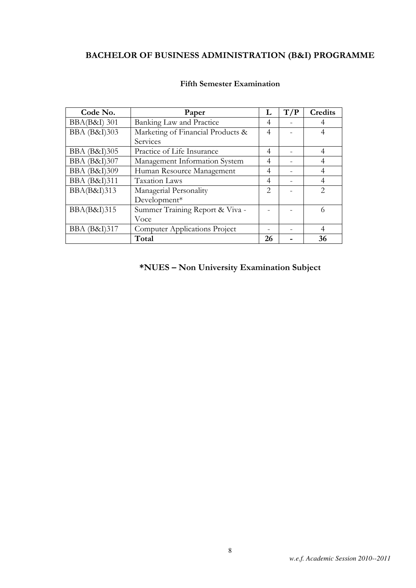| Code No.                         | Paper                                |                             | T/P | <b>Credits</b>                                                                                                                                                       |
|----------------------------------|--------------------------------------|-----------------------------|-----|----------------------------------------------------------------------------------------------------------------------------------------------------------------------|
| <b>BBA(B&amp;I)</b> 301          | Banking Law and Practice             | 4                           |     |                                                                                                                                                                      |
| <b>BBA</b> (B&I)303              | Marketing of Financial Products &    | 4                           |     |                                                                                                                                                                      |
|                                  | Services                             |                             |     |                                                                                                                                                                      |
| <b>BBA</b> (B&I)305              | Practice of Life Insurance           | 4                           |     | 4                                                                                                                                                                    |
| <b>BBA</b> (B&I)307              | Management Information System        | 4                           |     |                                                                                                                                                                      |
| <b>BBA</b> (B&I)309              | Human Resource Management            | 4                           |     | 4                                                                                                                                                                    |
| <b>BBA</b> (B&I)311              | <b>Taxation Laws</b>                 | 4                           |     | 4                                                                                                                                                                    |
| BBA(B&I)313                      | Managerial Personality               | $\mathcal{D}_{\mathcal{L}}$ |     | $\mathcal{D}_{\mathcal{L}}^{\mathcal{L}}(\mathcal{L}) = \mathcal{D}_{\mathcal{L}}^{\mathcal{L}}(\mathcal{L}) = \mathcal{D}_{\mathcal{L}}^{\mathcal{L}}(\mathcal{L})$ |
|                                  | Development*                         |                             |     |                                                                                                                                                                      |
| BBA(B&I)315                      | Summer Training Report & Viva -      |                             |     | 6                                                                                                                                                                    |
|                                  | Voce                                 |                             |     |                                                                                                                                                                      |
| <b>BBA</b> ( <b>B&amp;I</b> )317 | <b>Computer Applications Project</b> |                             |     | 4                                                                                                                                                                    |
|                                  | Total                                | 26                          |     | 36                                                                                                                                                                   |

### Fifth Semester Examination

\*NUES – Non University Examination Subject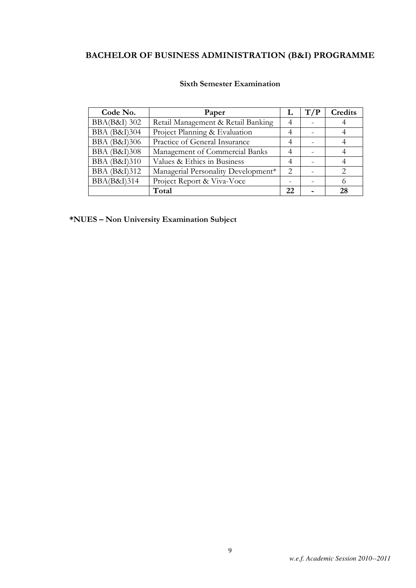| Code No.                | Paper                               |                             | T/P | Credits |
|-------------------------|-------------------------------------|-----------------------------|-----|---------|
| <b>BBA(B&amp;I)</b> 302 | Retail Management & Retail Banking  | 4                           |     |         |
| <b>BBA</b> (B&I)304     | Project Planning & Evaluation       | 4                           |     |         |
| <b>BBA</b> (B&I)306     | Practice of General Insurance       | $\overline{4}$              |     |         |
| <b>BBA</b> (B&I)308     | Management of Commercial Banks      |                             |     |         |
| <b>BBA</b> (B&I)310     | Values & Ethics in Business         | $\overline{4}$              |     |         |
| <b>BBA</b> (B&I)312     | Managerial Personality Development* | $\mathcal{D}_{\mathcal{L}}$ |     |         |
| <b>BBA(B&amp;I)314</b>  | Project Report & Viva-Voce          |                             |     |         |
|                         | Total                               | 22                          |     | 28      |

### Sixth Semester Examination

\*NUES – Non University Examination Subject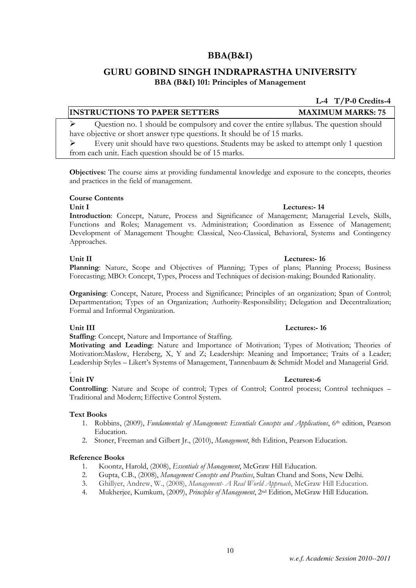## BBA(B&I)

## GURU GOBIND SINGH INDRAPRASTHA UNIVERSITY BBA (B&I) 101: Principles of Management

### INSTRUCTIONS TO PAPER SETTERS MAXIMUM MARKS: 75

 Question no. 1 should be compulsory and cover the entire syllabus. The question should have objective or short answer type questions. It should be of 15 marks.

 Every unit should have two questions. Students may be asked to attempt only 1 question from each unit. Each question should be of 15 marks.

Objectives: The course aims at providing fundamental knowledge and exposure to the concepts, theories and practices in the field of management.

### Course Contents

Introduction: Concept, Nature, Process and Significance of Management; Managerial Levels, Skills, Functions and Roles; Management vs. Administration; Coordination as Essence of Management; Development of Management Thought: Classical, Neo-Classical, Behavioral, Systems and Contingency Approaches.

### Unit II Lectures:- 16

Planning: Nature, Scope and Objectives of Planning; Types of plans; Planning Process; Business Forecasting; MBO: Concept, Types, Process and Techniques of decision-making; Bounded Rationality.

Organising: Concept, Nature, Process and Significance; Principles of an organization; Span of Control; Departmentation; Types of an Organization; Authority-Responsibility; Delegation and Decentralization; Formal and Informal Organization.

Staffing: Concept, Nature and Importance of Staffing.

Motivating and Leading: Nature and Importance of Motivation; Types of Motivation; Theories of Motivation:Maslow, Herzberg, X, Y and Z; Leadership: Meaning and Importance; Traits of a Leader; Leadership Styles – Likert's Systems of Management, Tannenbaum & Schmidt Model and Managerial Grid.

### . Unit IV Lectures:-6

Controlling: Nature and Scope of control; Types of Control; Control process; Control techniques – Traditional and Modern; Effective Control System.

### Text Books

- 1. Robbins, (2009), Fundamentals of Management: Essentials Concepts and Applications, 6<sup>th</sup> edition, Pearson Education.
- 2. Stoner, Freeman and Gilbert Jr., (2010), Management, 8th Edition, Pearson Education.

### Reference Books

- 1. Koontz, Harold, (2008), Essentials of Management, McGraw Hill Education.
- 2. Gupta, C.B., (2008), Management Concepts and Practices, Sultan Chand and Sons, New Delhi.
- 3. Ghillyer, Andrew, W., (2008), Management- A Real World Approach, McGraw Hill Education.
- 4. Mukherjee, Kumkum, (2009), Principles of Management, 2<sup>nd</sup> Edition, McGraw Hill Education.

L-4 T/P-0 Credits-4

## Unit I Lectures: 14

### Unit III lectures: 16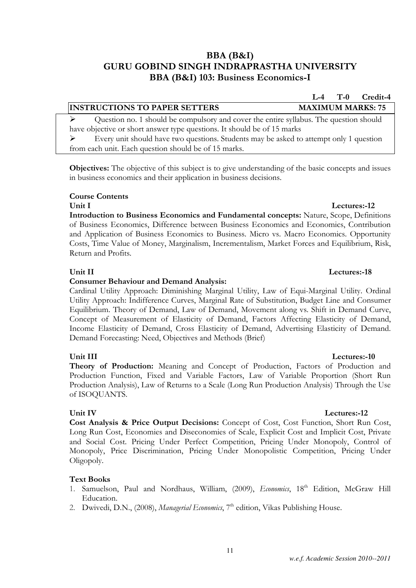### BBA (B&I) GURU GOBIND SINGH INDRAPRASTHA UNIVERSITY BBA (B&I) 103: Business Economics-I

| <b>INSTRUCTIONS TO PAPER SETTERS</b>                                                   | <b>MAXIMUM MARKS: 75</b> |  |  |  |
|----------------------------------------------------------------------------------------|--------------------------|--|--|--|
| Question no. 1 should be compulsory and cover the entire syllabus. The question should |                          |  |  |  |
| have objective or short answer type questions. It should be of 15 marks                |                          |  |  |  |
| Every unit should have two questions. Students may be asked to attempt only 1 question |                          |  |  |  |
| from each unit. Each question should be of 15 marks.                                   |                          |  |  |  |
|                                                                                        |                          |  |  |  |

Objectives: The objective of this subject is to give understanding of the basic concepts and issues in business economics and their application in business decisions.

### Course Contents

### Unit I Lectures:-12

Introduction to Business Economics and Fundamental concepts: Nature, Scope, Definitions of Business Economics, Difference between Business Economics and Economics, Contribution and Application of Business Economics to Business. Micro vs. Macro Economics. Opportunity Costs, Time Value of Money, Marginalism, Incrementalism, Market Forces and Equilibrium, Risk, Return and Profits.

### Consumer Behaviour and Demand Analysis:

Cardinal Utility Approach: Diminishing Marginal Utility, Law of Equi-Marginal Utility. Ordinal Utility Approach: Indifference Curves, Marginal Rate of Substitution, Budget Line and Consumer Equilibrium. Theory of Demand, Law of Demand, Movement along vs. Shift in Demand Curve, Concept of Measurement of Elasticity of Demand, Factors Affecting Elasticity of Demand, Income Elasticity of Demand, Cross Elasticity of Demand, Advertising Elasticity of Demand. Demand Forecasting: Need, Objectives and Methods (Brief)

### Unit III Lectures:-10

Theory of Production: Meaning and Concept of Production, Factors of Production and Production Function, Fixed and Variable Factors, Law of Variable Proportion (Short Run Production Analysis), Law of Returns to a Scale (Long Run Production Analysis) Through the Use of ISOQUANTS.

Cost Analysis & Price Output Decisions: Concept of Cost, Cost Function, Short Run Cost, Long Run Cost, Economies and Diseconomies of Scale, Explicit Cost and Implicit Cost, Private and Social Cost. Pricing Under Perfect Competition, Pricing Under Monopoly, Control of Monopoly, Price Discrimination, Pricing Under Monopolistic Competition, Pricing Under Oligopoly.

### Text Books

- 1. Samuelson, Paul and Nordhaus, William, (2009), Economics, 18th Edition, McGraw Hill Education.
- 2. Dwivedi, D.N., (2008), Managerial Economics, 7<sup>th</sup> edition, Vikas Publishing House.

### Unit II Lectures: 18

### Unit IV Lectures: 12

## L-4 T-0 Credit-4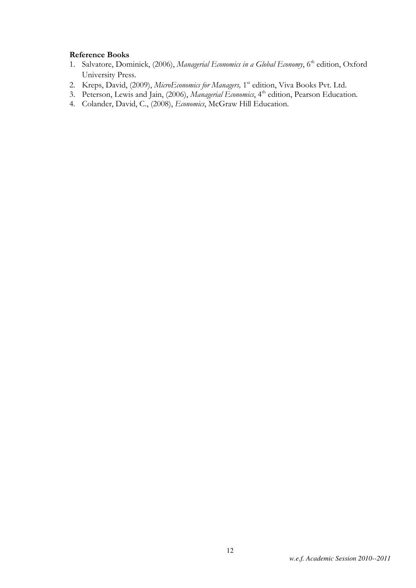### Reference Books

- 1. Salvatore, Dominick, (2006), Managerial Economics in a Global Economy, 6<sup>th</sup> edition, Oxford University Press.
- 2. Kreps, David, (2009), MicroEconomics for Managers, 1<sup>st</sup> edition, Viva Books Pvt. Ltd.
- 3. Peterson, Lewis and Jain, (2006), Managerial Economics, 4<sup>th</sup> edition, Pearson Education.
- 4. Colander, David, C., (2008), *Economics*, McGraw Hill Education.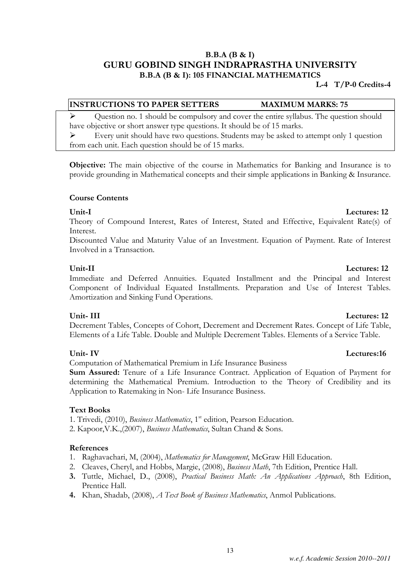### B.B.A (B & I) GURU GOBIND SINGH INDRAPRASTHA UNIVERSITY B.B.A (B & I): 105 FINANCIAL MATHEMATICS

### L-4 T/P-0 Credits-4

### INSTRUCTIONS TO PAPER SETTERS MAXIMUM MARKS: 75

 $\triangleright$  Question no. 1 should be compulsory and cover the entire syllabus. The question should have objective or short answer type questions. It should be of 15 marks.

 Every unit should have two questions. Students may be asked to attempt only 1 question from each unit. Each question should be of 15 marks.

Objective: The main objective of the course in Mathematics for Banking and Insurance is to provide grounding in Mathematical concepts and their simple applications in Banking & Insurance.

### Course Contents

Theory of Compound Interest, Rates of Interest, Stated and Effective, Equivalent Rate(s) of Interest.

Discounted Value and Maturity Value of an Investment. Equation of Payment. Rate of Interest Involved in a Transaction.

Unit-II Lectures: 12 Immediate and Deferred Annuities. Equated Installment and the Principal and Interest Component of Individual Equated Installments. Preparation and Use of Interest Tables. Amortization and Sinking Fund Operations.

Unit- III Lectures: 12 Decrement Tables, Concepts of Cohort, Decrement and Decrement Rates. Concept of Life Table, Elements of a Life Table. Double and Multiple Decrement Tables. Elements of a Service Table.

### Unit- IV Lectures:16

Computation of Mathematical Premium in Life Insurance Business

Sum Assured: Tenure of a Life Insurance Contract. Application of Equation of Payment for determining the Mathematical Premium. Introduction to the Theory of Credibility and its Application to Ratemaking in Non- Life Insurance Business.

### Text Books

1. Trivedi, (2010), *Business Mathematics*, 1<sup>st</sup> edition, Pearson Education.

2. Kapoor,V.K.,(2007), Business Mathematics, Sultan Chand & Sons.

### References

- 1. Raghavachari, M, (2004), Mathematics for Management, McGraw Hill Education.
- 2. Cleaves, Cheryl, and Hobbs, Margie, (2008), Business Math, 7th Edition, Prentice Hall.
- 3. Tuttle, Michael, D., (2008), Practical Business Math: An Applications Approach, 8th Edition, Prentice Hall.
- 4. Khan, Shadab, (2008), A Text Book of Business Mathematics, Anmol Publications.

### *w.e.f. Academic Session 2010--2011*

## Unit-I Lectures: 12

### 13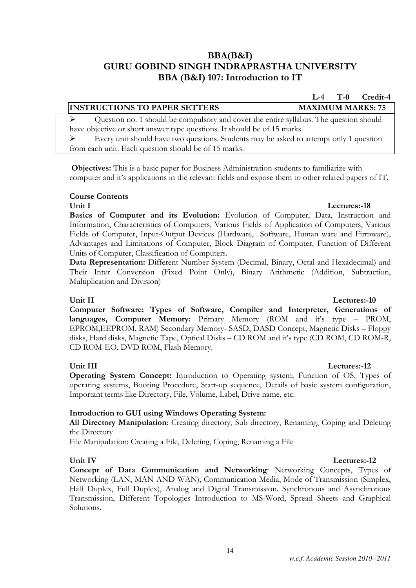## BBA(B&I) GURU GOBIND SINGH INDRAPRASTHA UNIVERSITY BBA (B&I) 107: Introduction to IT

INSTRUCTIONS TO PAPER SETTERS MAXIMUM MARKS: 75  $\triangleright$  Question no. 1 should be compulsory and cover the entire syllabus. The question should

Every unit should have two questions. Students may be asked to attempt only 1 question

computer and it's applications in the relevant fields and expose them to other related papers of IT.

Objectives: This is a basic paper for Business Administration students to familiarize with

have objective or short answer type questions. It should be of 15 marks.

from each unit. Each question should be of 15 marks.

Unit I Lectures:-18

L-4 T-0 Credit-4

Basics of Computer and its Evolution: Evolution of Computer, Data, Instruction and Information, Characteristics of Computers, Various Fields of Application of Computers, Various Fields of Computer, Input-Output Devices (Hardware, Software, Human ware and Firmware), Advantages and Limitations of Computer, Block Diagram of Computer, Function of Different Units of Computer, Classification of Computers.

Data Representation: Different Number System (Decimal, Binary, Octal and Hexadecimal) and Their Inter Conversion (Fixed Point Only), Binary Arithmetic (Addition, Subtraction, Multiplication and Division)

### Unit II Lectures:-10

Course Contents

Computer Software: Types of Software, Compiler and Interpreter, Generations of languages, Computer Memory: Primary Memory (ROM and it's type – PROM, EPROM,EEPROM, RAM) Secondary Memory- SASD, DASD Concept, Magnetic Disks – Floppy disks, Hard disks, Magnetic Tape, Optical Disks – CD ROM and it's type (CD ROM, CD ROM-R, CD ROM-EO, DVD ROM, Flash Memory.

### Unit III Lectures:-12

Operating System Concept: Introduction to Operating system; Function of OS, Types of operating systems, Booting Procedure, Start-up sequence, Details of basic system configuration, Important terms like Directory, File, Volume, Label, Drive name, etc.

### Introduction to GUI using Windows Operating System:

All Directory Manipulation: Creating directory, Sub directory, Renaming, Coping and Deleting the Directory

File Manipulation: Creating a File, Deleting, Coping, Renaming a File

### Unit IV Lectures:-12

Concept of Data Communication and Networking: Networking Concepts, Types of Networking (LAN, MAN AND WAN), Communication Media, Mode of Transmission (Simplex, Half Duplex, Full Duplex), Analog and Digital Transmission. Synchronous and Asynchronous Transmission, Different Topologies Introduction to MS-Word, Spread Sheets and Graphical Solutions.

### 14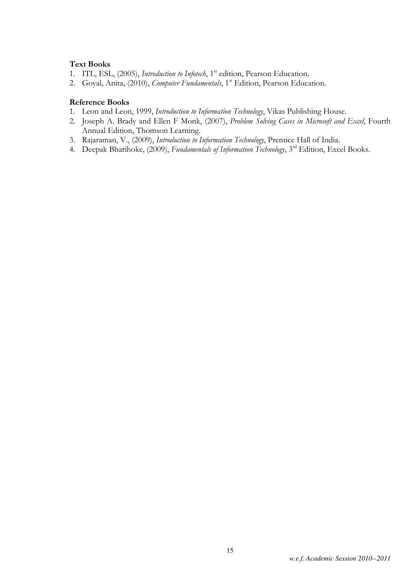### Text Books

- 1. ITL, ESL, (2005), *Introduction to Infotech*, 1<sup>st</sup> edition, Pearson Education.
- 2. Goyal, Anita, (2010), Computer Fundamentals, 1<sup>st</sup> Edition, Pearson Education.

### Reference Books

- 1. Leon and Leon, 1999, Introduction to Information Technology, Vikas Publishing House.
- 2. Joseph A. Brady and Ellen F Monk, (2007), Problem Solving Cases in Microsoft and Excel, Fourth Annual Edition, Thomson Learning.
- 3. Rajaraman, V., (2009), Introduction to Information Technology, Prentice Hall of India.
- 4. Deepak Bharihoke, (2009), Fundamentals of Information Technology, 3<sup>rd</sup> Edition, Excel Books.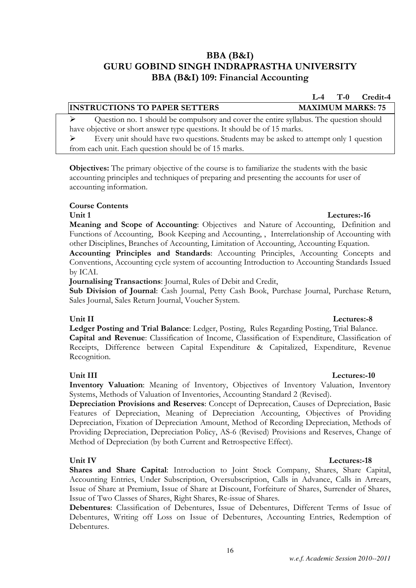### BBA (B&I) GURU GOBIND SINGH INDRAPRASTHA UNIVERSITY BBA (B&I) 109: Financial Accounting

### INSTRUCTIONS TO PAPER SETTERS MAXIMUM MARKS: 75

 $\triangleright$  Question no. 1 should be compulsory and cover the entire syllabus. The question should have objective or short answer type questions. It should be of 15 marks. Every unit should have two questions. Students may be asked to attempt only 1 question

from each unit. Each question should be of 15 marks.

Objectives: The primary objective of the course is to familiarize the students with the basic accounting principles and techniques of preparing and presenting the accounts for user of accounting information.

### Course Contents

Meaning and Scope of Accounting: Objectives and Nature of Accounting, Definition and Functions of Accounting, Book Keeping and Accounting, , Interrelationship of Accounting with other Disciplines, Branches of Accounting, Limitation of Accounting, Accounting Equation.

Accounting Principles and Standards: Accounting Principles, Accounting Concepts and Conventions, Accounting cycle system of accounting Introduction to Accounting Standards Issued by ICAI.

Journalising Transactions: Journal, Rules of Debit and Credit,

Sub Division of Journal: Cash Journal, Petty Cash Book, Purchase Journal, Purchase Return, Sales Journal, Sales Return Journal, Voucher System.

### Unit II Lectures:-8

Ledger Posting and Trial Balance: Ledger, Posting, Rules Regarding Posting, Trial Balance. Capital and Revenue: Classification of Income, Classification of Expenditure, Classification of Receipts, Difference between Capital Expenditure & Capitalized, Expenditure, Revenue Recognition.

Inventory Valuation: Meaning of Inventory, Objectives of Inventory Valuation, Inventory Systems, Methods of Valuation of Inventories, Accounting Standard 2 (Revised).

Depreciation Provisions and Reserves: Concept of Deprecation, Causes of Depreciation, Basic Features of Depreciation, Meaning of Depreciation Accounting, Objectives of Providing Depreciation, Fixation of Depreciation Amount, Method of Recording Depreciation, Methods of Providing Depreciation, Depreciation Policy, AS-6 (Revised) Provisions and Reserves, Change of Method of Depreciation (by both Current and Retrospective Effect).

### Unit IV Lectures:-18

Shares and Share Capital: Introduction to Joint Stock Company, Shares, Share Capital, Accounting Entries, Under Subscription, Oversubscription, Calls in Advance, Calls in Arrears, Issue of Share at Premium, Issue of Share at Discount, Forfeiture of Shares, Surrender of Shares, Issue of Two Classes of Shares, Right Shares, Re-issue of Shares.

Debentures: Classification of Debentures, Issue of Debentures, Different Terms of Issue of Debentures, Writing off Loss on Issue of Debentures, Accounting Entries, Redemption of Debentures.

### Unit III Lectures:-10

### Unit 1 Lectures:-16

L-4 T-0 Credit-4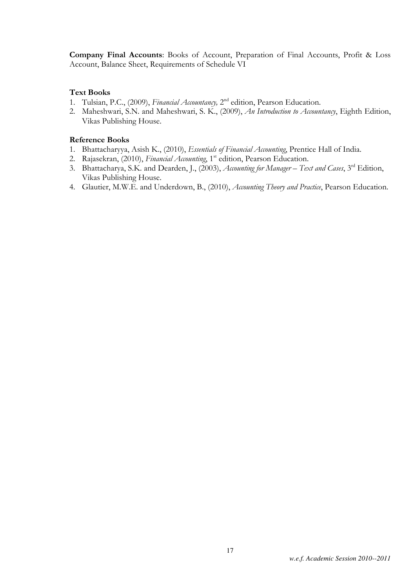Company Final Accounts: Books of Account, Preparation of Final Accounts, Profit & Loss Account, Balance Sheet, Requirements of Schedule VI

### Text Books

- 1. Tulsian, P.C., (2009), Financial Accountancy, 2<sup>nd</sup> edition, Pearson Education.
- 2. Maheshwari, S.N. and Maheshwari, S. K., (2009), An Introduction to Accountancy, Eighth Edition, Vikas Publishing House.

### Reference Books

- 1. Bhattacharyya, Asish K., (2010), *Essentials of Financial Accounting*, Prentice Hall of India.
- 2. Rajasekran, (2010), Financial Accounting, 1<sup>st</sup> edition, Pearson Education.
- 3. Bhattacharya, S.K. and Dearden, J., (2003), Accounting for Manager Text and Cases, 3rd Edition, Vikas Publishing House.
- 4. Glautier, M.W.E. and Underdown, B., (2010), Accounting Theory and Practice, Pearson Education.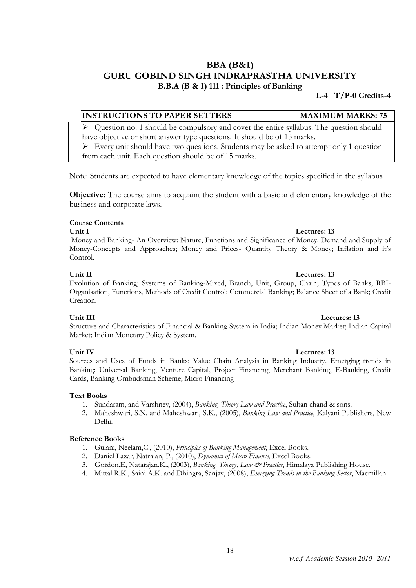## BBA (B&I) GURU GOBIND SINGH INDRAPRASTHA UNIVERSITY

B.B.A (B & I) 111 : Principles of Banking

L-4 T/P-0 Credits-4

### INSTRUCTIONS TO PAPER SETTERS MAXIMUM MARKS: 75

 $\triangleright$  Question no. 1 should be compulsory and cover the entire syllabus. The question should have objective or short answer type questions. It should be of 15 marks.

 Every unit should have two questions. Students may be asked to attempt only 1 question from each unit. Each question should be of 15 marks.

Note: Students are expected to have elementary knowledge of the topics specified in the syllabus

Objective: The course aims to acquaint the student with a basic and elementary knowledge of the business and corporate laws.

### Course Contents

 Money and Banking- An Overview; Nature, Functions and Significance of Money. Demand and Supply of Money-Concepts and Approaches; Money and Prices- Quantity Theory & Money; Inflation and it's Control.

Evolution of Banking; Systems of Banking-Mixed, Branch, Unit, Group, Chain; Types of Banks; RBI-Organisation, Functions, Methods of Credit Control; Commercial Banking; Balance Sheet of a Bank; Credit Creation.

### Unit III Lectures: 13

Market; Indian Monetary Policy & System.

Structure and Characteristics of Financial & Banking System in India; Indian Money Market; Indian Capital

Sources and Uses of Funds in Banks; Value Chain Analysis in Banking Industry. Emerging trends in Banking: Universal Banking, Venture Capital, Project Financing, Merchant Banking, E-Banking, Credit Cards, Banking Ombudsman Scheme; Micro Financing

### Text Books

- 1. Sundaram, and Varshney, (2004), Banking, Theory Law and Practice, Sultan chand & sons.
- 2. Maheshwari, S.N. and Maheshwari, S.K., (2005), Banking Law and Practice, Kalyani Publishers, New Delhi.

### Reference Books

- 1. Gulani, Neelam,C., (2010), Principles of Banking Management, Excel Books.
- 2. Daniel Lazar, Natrajan, P., (2010), Dynamics of Micro Finance, Excel Books.
- 3. Gordon.E, Natarajan.K., (2003), Banking, Theory, Law & Practice, Himalaya Publishing House.
- 4. Mittal R.K., Saini A.K. and Dhingra, Sanjay, (2008), *Emerging Trends in the Banking Sector*, Macmillan.

### Unit I Lectures: 13

### Unit II Lectures: 13

### Unit IV Lectures: 13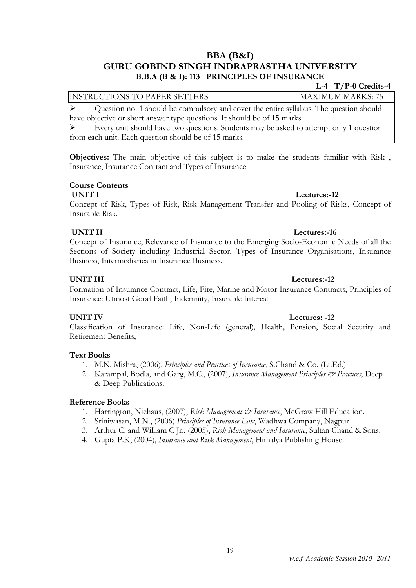### BBA (B&I) GURU GOBIND SINGH INDRAPRASTHA UNIVERSITY B.B.A (B & I): 113 PRINCIPLES OF INSURANCE

### L-4 T/P-0 Credits-4

INSTRUCTIONS TO PAPER SETTERS MAXIMUM MARKS: 75

 $\triangleright$  Question no. 1 should be compulsory and cover the entire syllabus. The question should have objective or short answer type questions. It should be of 15 marks.

 $\triangleright$  Every unit should have two questions. Students may be asked to attempt only 1 question from each unit. Each question should be of 15 marks.

Objectives: The main objective of this subject is to make the students familiar with Risk , Insurance, Insurance Contract and Types of Insurance

### Course Contents

Concept of Risk, Types of Risk, Risk Management Transfer and Pooling of Risks, Concept of Insurable Risk.

### UNIT II Lectures:-16

Concept of Insurance, Relevance of Insurance to the Emerging Socio-Economic Needs of all the Sections of Society including Industrial Sector, Types of Insurance Organisations, Insurance Business, Intermediaries in Insurance Business.

### UNIT III Lectures:-12

Formation of Insurance Contract, Life, Fire, Marine and Motor Insurance Contracts, Principles of Insurance: Utmost Good Faith, Indemnity, Insurable Interest

UNIT IV Lectures: -12

Classification of Insurance: Life, Non-Life (general), Health, Pension, Social Security and Retirement Benefits,

### Text Books

- 1. M.N. Mishra, (2006), *Principles and Practices of Insurance*, S.Chand & Co. (Lt.Ed.)
- 2. Karampal, Bodla, and Garg, M.C., (2007), Insurance Management Principles & Practices, Deep & Deep Publications.

### Reference Books

- 1. Harrington, Niehaus, (2007), Risk Management & Insurance, McGraw Hill Education.
- 2. Sriniwasan, M.N., (2006) Principles of Insurance Law, Wadhwa Company, Nagpur
- 3. Arthur C. and William C Jr., (2005), Risk Management and Insurance, Sultan Chand & Sons.
- 4. Gupta P.K, (2004), *Insurance and Risk Management*, Himalya Publishing House.

## UNIT I Lectures:-12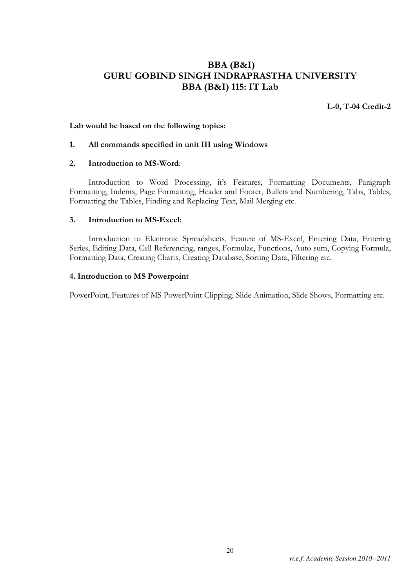## BBA (B&I) GURU GOBIND SINGH INDRAPRASTHA UNIVERSITY BBA (B&I) 115: IT Lab

L-0, T-04 Credit-2

### Lab would be based on the following topics:

### 1. All commands specified in unit III using Windows

### 2. Introduction to MS-Word:

 Introduction to Word Processing, it's Features, Formatting Documents, Paragraph Formatting, Indents, Page Formatting, Header and Footer, Bullets and Numbering, Tabs, Tables, Formatting the Tables, Finding and Replacing Text, Mail Merging etc.

### 3. Introduction to MS-Excel:

 Introduction to Electronic Spreadsheets, Feature of MS-Excel, Entering Data, Entering Series, Editing Data, Cell Referencing, ranges, Formulae, Functions, Auto sum, Copying Formula, Formatting Data, Creating Charts, Creating Database, Sorting Data, Filtering etc.

### 4. Introduction to MS Powerpoint

PowerPoint, Features of MS PowerPoint Clipping, Slide Animation, Slide Shows, Formatting etc.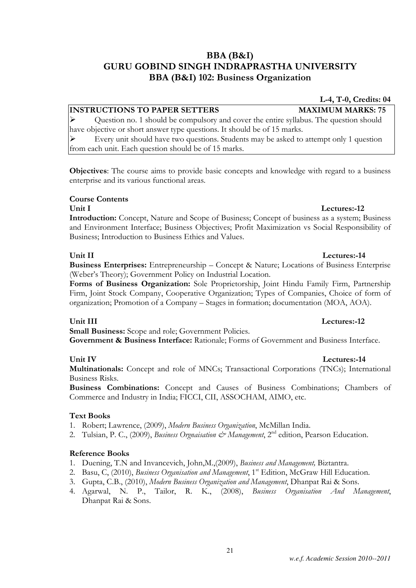## BBA (B&I) GURU GOBIND SINGH INDRAPRASTHA UNIVERSITY BBA (B&I) 102: Business Organization

### **INSTRUCTIONS TO PAPER SETTERS MAXIMUM MARKS: 75**

 $\triangleright$  Question no. 1 should be compulsory and cover the entire syllabus. The question should have objective or short answer type questions. It should be of 15 marks.

 Every unit should have two questions. Students may be asked to attempt only 1 question from each unit. Each question should be of 15 marks.

Objectives: The course aims to provide basic concepts and knowledge with regard to a business enterprise and its various functional areas.

### Course Contents

### Unit I Lectures:-12 Introduction: Concept, Nature and Scope of Business; Concept of business as a system; Business and Environment Interface; Business Objectives; Profit Maximization vs Social Responsibility of Business; Introduction to Business Ethics and Values.

### Unit II Lectures:-14

Business Enterprises: Entrepreneurship – Concept & Nature; Locations of Business Enterprise (Weber's Theory); Government Policy on Industrial Location.

Forms of Business Organization: Sole Proprietorship, Joint Hindu Family Firm, Partnership Firm, Joint Stock Company, Cooperative Organization; Types of Companies, Choice of form of organization; Promotion of a Company – Stages in formation; documentation (MOA, AOA).

**Small Business:** Scope and role; Government Policies. Government & Business Interface: Rationale; Forms of Government and Business Interface.

Multinationals: Concept and role of MNCs; Transactional Corporations (TNCs); International Business Risks.

Business Combinations: Concept and Causes of Business Combinations; Chambers of Commerce and Industry in India; FICCI, CII, ASSOCHAM, AIMO, etc.

### Text Books

- 1. Robert; Lawrence, (2009), Modern Business Organization, McMillan India.
- 2. Tulsian, P. C., (2009), *Business Orgnaisation & Management*, 2<sup>nd</sup> edition, Pearson Education.

### Reference Books

- 1. Duening, T.N and Invancevich, John,M.,(2009), Business and Management, Biztantra.
- 2. Basu, C, (2010), Business Organisation and Management, 1<sup>st</sup> Edition, McGraw Hill Education.
- 3. Gupta, C.B., (2010), Modern Business Organization and Management, Dhanpat Rai & Sons.
- 4. Agarwal, N. P., Tailor, R. K., (2008), Business Organisation And Management, Dhanpat Rai & Sons.

21

L-4, T-0, Credits: 04

## Unit III Lectures:-12

### Unit IV Lectures:-14

*w.e.f. Academic Session 2010--2011*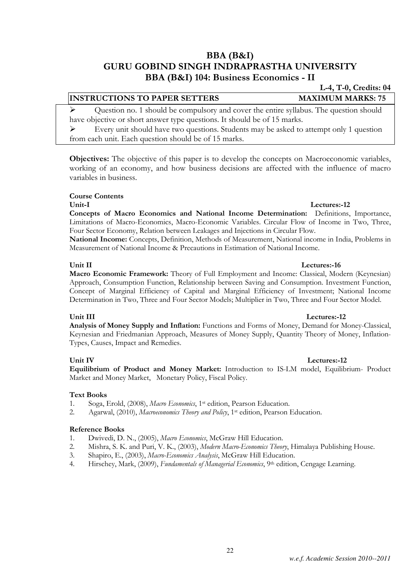### BBA (B&I) GURU GOBIND SINGH INDRAPRASTHA UNIVERSITY BBA (B&I) 104: Business Economics - II

### **INSTRUCTIONS TO PAPER SETTERS MAXIMUM MARKS: 75**

 Question no. 1 should be compulsory and cover the entire syllabus. The question should have objective or short answer type questions. It should be of 15 marks.

 $\triangleright$  Every unit should have two questions. Students may be asked to attempt only 1 question from each unit. Each question should be of 15 marks.

Objectives: The objective of this paper is to develop the concepts on Macroeconomic variables, working of an economy, and how business decisions are affected with the influence of macro variables in business.

### Course Contents

Concepts of Macro Economics and National Income Determination: Definitions, Importance, Limitations of Macro-Economics, Macro-Economic Variables. Circular Flow of Income in Two, Three, Four Sector Economy, Relation between Leakages and Injections in Circular Flow.

National Income: Concepts, Definition, Methods of Measurement, National income in India, Problems in Measurement of National Income & Precautions in Estimation of National Income.

### Unit II Lectures:-16

Macro Economic Framework: Theory of Full Employment and Income: Classical, Modern (Keynesian) Approach, Consumption Function, Relationship between Saving and Consumption. Investment Function, Concept of Marginal Efficiency of Capital and Marginal Efficiency of Investment; National Income Determination in Two, Three and Four Sector Models; Multiplier in Two, Three and Four Sector Model.

### Unit III Lectures:-12

Analysis of Money Supply and Inflation: Functions and Forms of Money, Demand for Money-Classical, Keynesian and Friedmanian Approach, Measures of Money Supply, Quantity Theory of Money, Inflation-Types, Causes, Impact and Remedies.

Equilibrium of Product and Money Market: Introduction to IS-LM model, Equilibrium- Product Market and Money Market, Monetary Policy, Fiscal Policy.

### Text Books

- 1. Soga, Erold, (2008), Macro Economics, 1st edition, Pearson Education.
- 2. Agarwal, (2010), Macroeconomics Theory and Policy, 1<sup>st</sup> edition, Pearson Education.

### Reference Books

- 1. Dwivedi, D. N., (2005), Macro Economics, McGraw Hill Education.
- 2. Mishra, S. K. and Puri, V. K., (2003), Modern Macro-Economics Theory, Himalaya Publishing House.
- 3. Shapiro, E., (2003), Macro-Economics Analysis, McGraw Hill Education.
- 4. Hirschey, Mark, (2009), Fundamentals of Managerial Economics, 9<sup>th</sup> edition, Cengage Learning.

### Unit-I Lectures:-12

### Unit IV Lectures:-12

L-4, T-0, Credits: 04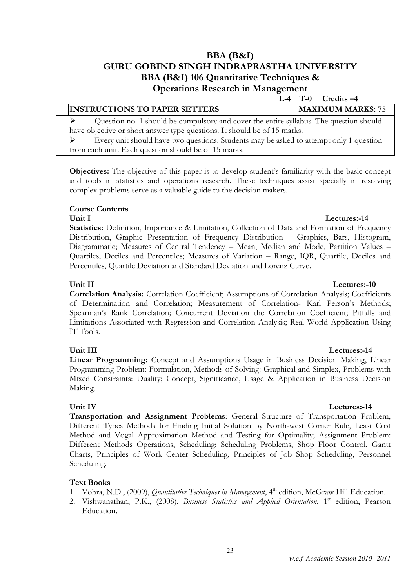### BBA (B&I) GURU GOBIND SINGH INDRAPRASTHA UNIVERSITY BBA (B&I) 106 Quantitative Techniques & Operations Research in Management

L-4 T-0 Credits –4

| <b>INSTRUCTIONS TO PAPER SETTERS</b>                                                                    | <b>MAXIMUM MARKS: 75</b> |
|---------------------------------------------------------------------------------------------------------|--------------------------|
| $\triangleright$ Question no. 1 should be compulsory and cover the entire syllabus. The question should |                          |
| have objective or short answer type questions. It should be of 15 marks.                                |                          |
| $\triangleright$ Every unit should have two questions. Students may be asked to attempt only 1 question |                          |
| from each unit. Each question should be of 15 marks.                                                    |                          |

Objectives: The objective of this paper is to develop student's familiarity with the basic concept and tools in statistics and operations research. These techniques assist specially in resolving complex problems serve as a valuable guide to the decision makers.

### Course Contents

### Unit I Lectures:-14

Statistics: Definition, Importance & Limitation, Collection of Data and Formation of Frequency Distribution, Graphic Presentation of Frequency Distribution – Graphics, Bars, Histogram, Diagrammatic; Measures of Central Tendency – Mean, Median and Mode, Partition Values – Quartiles, Deciles and Percentiles; Measures of Variation – Range, IQR, Quartile, Deciles and Percentiles, Quartile Deviation and Standard Deviation and Lorenz Curve.

### Unit II Lectures:-10

Correlation Analysis: Correlation Coefficient; Assumptions of Correlation Analysis; Coefficients of Determination and Correlation; Measurement of Correlation- Karl Person's Methods; Spearman's Rank Correlation; Concurrent Deviation the Correlation Coefficient; Pitfalls and Limitations Associated with Regression and Correlation Analysis; Real World Application Using IT Tools.

### Unit III Lectures:-14

Linear Programming: Concept and Assumptions Usage in Business Decision Making, Linear Programming Problem: Formulation, Methods of Solving: Graphical and Simplex, Problems with Mixed Constraints: Duality; Concept, Significance, Usage & Application in Business Decision Making.

Transportation and Assignment Problems: General Structure of Transportation Problem, Different Types Methods for Finding Initial Solution by North-west Corner Rule, Least Cost Method and Vogal Approximation Method and Testing for Optimality; Assignment Problem: Different Methods Operations, Scheduling: Scheduling Problems, Shop Floor Control, Gantt Charts, Principles of Work Center Scheduling, Principles of Job Shop Scheduling, Personnel Scheduling.

### Text Books

- 1. Vohra, N.D., (2009), *Ouantitative Techniques in Management*, 4<sup>th</sup> edition, McGraw Hill Education.
- 2. Vishwanathan, P.K., (2008), Business Statistics and Applied Orientation, 1<sup>st</sup> edition, Pearson Education.

### Unit IV Lectures:-14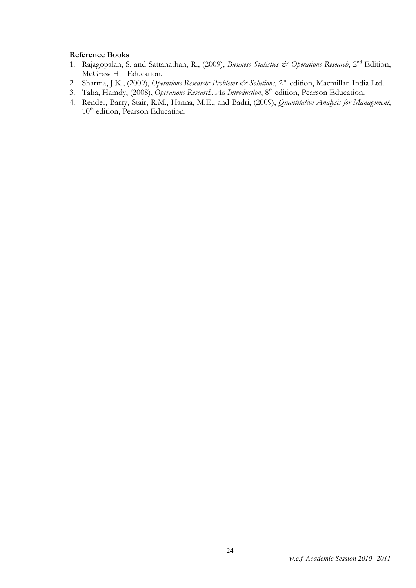### Reference Books

- 1. Rajagopalan, S. and Sattanathan, R., (2009), Business Statistics & Operations Research, 2<sup>nd</sup> Edition, McGraw Hill Education.
- 2. Sharma, J.K., (2009), Operations Research: Problems & Solutions, 2<sup>nd</sup> edition, Macmillan India Ltd.
- 3. Taha, Hamdy, (2008), Operations Research: An Introduction, 8<sup>th</sup> edition, Pearson Education.
- 4. Render, Barry, Stair, R.M., Hanna, M.E., and Badri, (2009), Quantitative Analysis for Management, 10<sup>th</sup> edition, Pearson Education.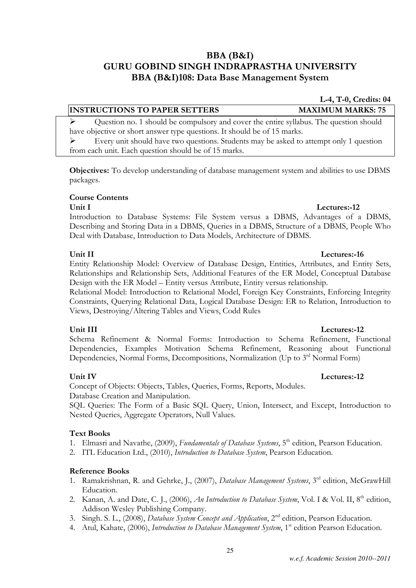### BBA (B&I) GURU GOBIND SINGH INDRAPRASTHA UNIVERSITY BBA (B&I)108: Data Base Management System

*w.e.f. Academic Session 2010--2011* 

### **INSTRUCTIONS TO PAPER SETTERS MAXIMUM MARKS: 75**

 $\triangleright$  Question no. 1 should be compulsory and cover the entire syllabus. The question should have objective or short answer type questions. It should be of 15 marks.

 Every unit should have two questions. Students may be asked to attempt only 1 question from each unit. Each question should be of 15 marks.

Objectives: To develop understanding of database management system and abilities to use DBMS packages.

### Course Contents

### Unit I Lectures:-12

Introduction to Database Systems: File System versus a DBMS, Advantages of a DBMS, Describing and Storing Data in a DBMS, Queries in a DBMS, Structure of a DBMS, People Who Deal with Database, Introduction to Data Models, Architecture of DBMS.

Entity Relationship Model: Overview of Database Design, Entities, Attributes, and Entity Sets, Relationships and Relationship Sets, Additional Features of the ER Model, Conceptual Database Design with the ER Model – Entity versus Attribute, Entity versus relationship.

Relational Model: Introduction to Relational Model, Foreign Key Constraints, Enforcing Integrity Constraints, Querying Relational Data, Logical Database Design: ER to Relation, Introduction to Views, Destroying/Altering Tables and Views, Codd Rules

### Unit III Lectures:-12

Schema Refinement & Normal Forms: Introduction to Schema Refinement, Functional Dependencies, Examples Motivation Schema Refinement, Reasoning about Functional Dependencies, Normal Forms, Decompositions, Normalization (Up to 3<sup>rd</sup> Normal Form)

Concept of Objects: Objects, Tables, Queries, Forms, Reports, Modules. Database Creation and Manipulation.

SQL Queries: The Form of a Basic SQL Query, Union, Intersect, and Except, Introduction to Nested Queries, Aggregate Operators, Null Values.

### Text Books

- 1. Elmasri and Navathe, (2009), Fundamentals of Database Systems, 5<sup>th</sup> edition, Pearson Education.
- 2. ITL Education Ltd., (2010), Introduction to Database System, Pearson Education.

### Reference Books

- 1. Ramakrishnan, R. and Gehrke, J., (2007), Database Management Systems, 3<sup>rd</sup> edition, McGrawHill Education.
- 2. Kanan, A. and Date, C. J., (2006), An Introduction to Database System, Vol. I & Vol. II, 8<sup>th</sup> edition, Addison Wesley Publishing Company.
- 3. Singh. S. L., (2008), *Database System Concept and Application*, 2<sup>nd</sup> edition, Pearson Education.
- 4. Atul, Kahate, (2006), *Introduction to Database Management System*, 1<sup>st</sup> edition Pearson Education.

### Unit II Lectures: 16

### Unit IV Lectures:-12

# L-4, T-0, Credits: 04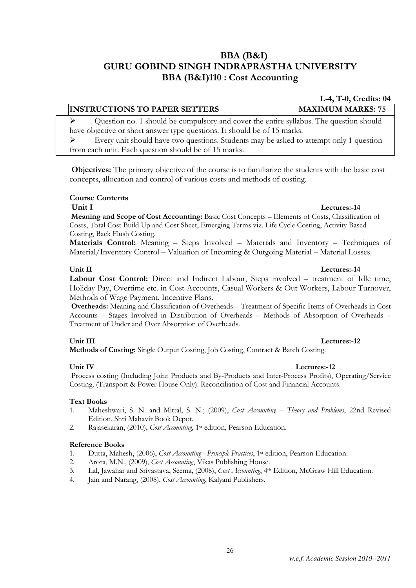## BBA (B&I) GURU GOBIND SINGH INDRAPRASTHA UNIVERSITY BBA (B&I)110 : Cost Accounting

### INSTRUCTIONS TO PAPER SETTERS MAXIMUM MARKS: 75

 $\triangleright$  Ouestion no. 1 should be compulsory and cover the entire syllabus. The question should have objective or short answer type questions. It should be of 15 marks.

 Every unit should have two questions. Students may be asked to attempt only 1 question from each unit. Each question should be of 15 marks.

 Objectives: The primary objective of the course is to familiarize the students with the basic cost concepts, allocation and control of various costs and methods of costing.

### Course Contents

Unit I Lectures:-14 Meaning and Scope of Cost Accounting: Basic Cost Concepts – Elements of Costs, Classification of Costs, Total Cost Build Up and Cost Sheet, Emerging Terms viz. Life Cycle Costing, Activity Based Costing, Back Flush Costing.

Materials Control: Meaning – Steps Involved – Materials and Inventory – Techniques of Material/Inventory Control – Valuation of Incoming & Outgoing Material – Material Losses.

### Unit II Lectures:-14 Labour Cost Control: Direct and Indirect Labour, Steps involved – treatment of Idle time, Holiday Pay, Overtime etc. in Cost Accounts, Casual Workers & Out Workers, Labour Turnover,

Methods of Wage Payment. Incentive Plans. Overheads: Meaning and Classification of Overheads – Treatment of Specific Items of Overheads in Cost Accounts – Stages Involved in Distribution of Overheads – Methods of Absorption of Overheads – Treatment of Under and Over Absorption of Overheads.

### Unit III Lectures:-12

Methods of Costing: Single Output Costing, Job Costing, Contract & Batch Costing.

### Unit IV Lectures:-12

 Process costing (Including Joint Products and By-Products and Inter-Process Profits), Operating/Service Costing. (Transport & Power House Only). Reconciliation of Cost and Financial Accounts.

### Text Books

- 1. Maheshwari, S. N. and Mittal, S. N.; (2009), Cost Accounting Theory and Problems, 22nd Revised Edition, Shri Mahavir Book Depot.
- 2. Rajasekaran, (2010), *Cost Accounting*, 1<sup>st</sup> edition, Pearson Education.

### Reference Books

- 1. Dutta, Mahesh, (2006), Cost Accounting Principle Practices, 1st edition, Pearson Education.
- 2. Arora, M.N., (2009), *Cost Accounting*, Vikas Publishing House.
- 3. Lal, Jawahar and Srivastava, Seema, (2008), Cost Accounting, 4th Edition, McGraw Hill Education.
- 4. Jain and Narang, (2008), *Cost Accounting*, Kalyani Publishers.

L-4, T-0, Credits: 04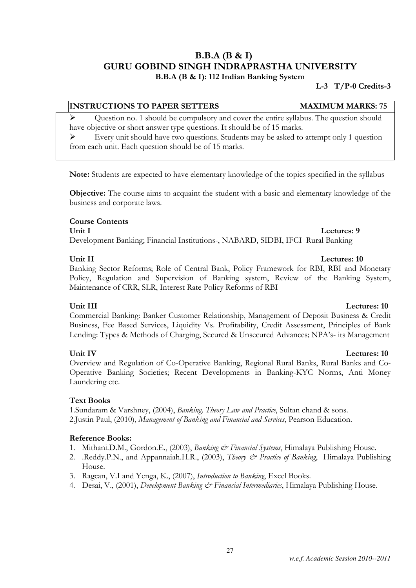### B.B.A (B & I) GURU GOBIND SINGH INDRAPRASTHA UNIVERSITY B.B.A (B & I): 112 Indian Banking System

### L-3 T/P-0 Credits-3

### INSTRUCTIONS TO PAPER SETTERS MAXIMUM MARKS: 75

 Question no. 1 should be compulsory and cover the entire syllabus. The question should have objective or short answer type questions. It should be of 15 marks.

 $\triangleright$  Every unit should have two questions. Students may be asked to attempt only 1 question from each unit. Each question should be of 15 marks.

Note: Students are expected to have elementary knowledge of the topics specified in the syllabus

Objective: The course aims to acquaint the student with a basic and elementary knowledge of the business and corporate laws.

### Course Contents Unit I Lectures: 9

Development Banking; Financial Institutions-, NABARD, SIDBI, IFCI Rural Banking

### Banking Sector Reforms; Role of Central Bank, Policy Framework for RBI, RBI and Monetary Policy, Regulation and Supervision of Banking system, Review of the Banking System, Maintenance of CRR, SLR, Interest Rate Policy Reforms of RBI

### Commercial Banking: Banker Customer Relationship, Management of Deposit Business & Credit Business, Fee Based Services, Liquidity Vs. Profitability, Credit Assessment, Principles of Bank Lending: Types & Methods of Charging, Secured & Unsecured Advances; NPA's- its Management

### Unit IV Lectures: 10

Overview and Regulation of Co-Operative Banking, Regional Rural Banks, Rural Banks and Co-Operative Banking Societies; Recent Developments in Banking-KYC Norms, Anti Money Laundering etc.

### Text Books

1. Sundaram & Varshney, (2004), Banking, Theory Law and Practice, Sultan chand & sons. 2.Justin Paul, (2010), Management of Banking and Financial and Services, Pearson Education.

### Reference Books:

- 1. Mithani.D.M., Gordon.E., (2003), Banking & Financial Systems, Himalaya Publishing House.
- 2. .Reddy.P.N., and Appannaiah.H.R., (2003), *Theory & Practice of Banking*, Himalaya Publishing House.
- 3. Ragcan, V.I and Yenga, K., (2007), Introduction to Banking, Excel Books.
- 4. Desai, V., (2001), *Development Banking & Financial Intermediaries*, Himalaya Publishing House.

### Unit II Lectures: 10

### Unit III Lectures: 10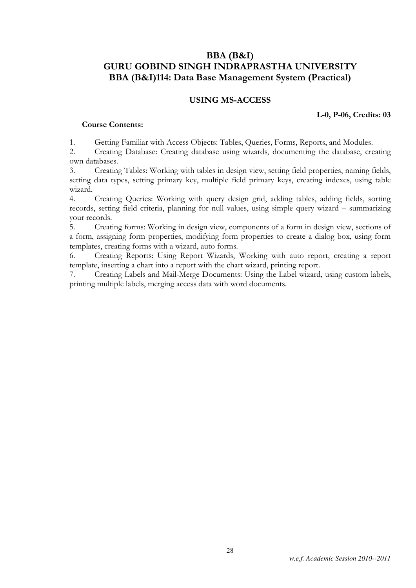### BBA (B&I) GURU GOBIND SINGH INDRAPRASTHA UNIVERSITY BBA (B&I)114: Data Base Management System (Practical)

### USING MS-ACCESS

### L-0, P-06, Credits: 03

### Course Contents:

1. Getting Familiar with Access Objects: Tables, Queries, Forms, Reports, and Modules.

2. Creating Database: Creating database using wizards, documenting the database, creating own databases.

3. Creating Tables: Working with tables in design view, setting field properties, naming fields, setting data types, setting primary key, multiple field primary keys, creating indexes, using table wizard.

4. Creating Queries: Working with query design grid, adding tables, adding fields, sorting records, setting field criteria, planning for null values, using simple query wizard – summarizing your records.

5. Creating forms: Working in design view, components of a form in design view, sections of a form, assigning form properties, modifying form properties to create a dialog box, using form templates, creating forms with a wizard, auto forms.

6. Creating Reports: Using Report Wizards, Working with auto report, creating a report template, inserting a chart into a report with the chart wizard, printing report.

7. Creating Labels and Mail-Merge Documents: Using the Label wizard, using custom labels, printing multiple labels, merging access data with word documents.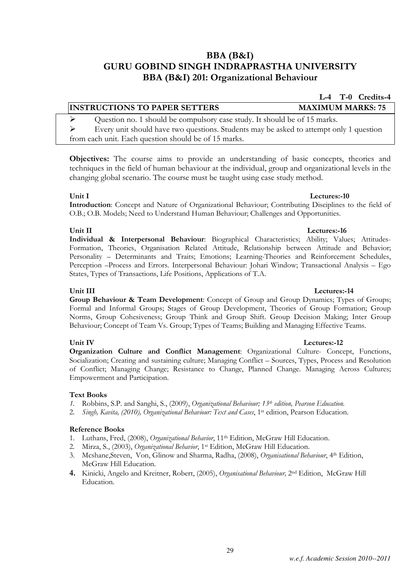### BBA (B&I) GURU GOBIND SINGH INDRAPRASTHA UNIVERSITY BBA (B&I) 201: Organizational Behaviour

## L-4 T-0 Credits-4 INSTRUCTIONS TO PAPER SETTERS MAXIMUM MARKS: 75  $\triangleright$  Question no. 1 should be compulsory case study. It should be of 15 marks.

 $\triangleright$  Every unit should have two questions. Students may be asked to attempt only 1 question from each unit. Each question should be of 15 marks.

Objectives: The course aims to provide an understanding of basic concepts, theories and techniques in the field of human behaviour at the individual, group and organizational levels in the changing global scenario. The course must be taught using case study method.

### Unit I Lectures:-10

Introduction: Concept and Nature of Organizational Behaviour; Contributing Disciplines to the field of O.B.; O.B. Models; Need to Understand Human Behaviour; Challenges and Opportunities.

### Unit II Lectures:-16

Individual & Interpersonal Behaviour: Biographical Characteristics; Ability; Values; Attitudes-Formation, Theories, Organisation Related Attitude, Relationship between Attitude and Behavior; Personality – Determinants and Traits; Emotions; Learning-Theories and Reinforcement Schedules, Perception –Process and Errors. Interpersonal Behaviour: Johari Window; Transactional Analysis – Ego States, Types of Transactions, Life Positions, Applications of T.A.

### Unit III **Lectures:-14**

Group Behaviour & Team Development: Concept of Group and Group Dynamics; Types of Groups; Formal and Informal Groups; Stages of Group Development, Theories of Group Formation; Group Norms, Group Cohesiveness; Group Think and Group Shift. Group Decision Making; Inter Group Behaviour; Concept of Team Vs. Group; Types of Teams; Building and Managing Effective Teams.

### Unit IV Lectures:-12

Organization Culture and Conflict Management: Organizational Culture- Concept, Functions, Socialization; Creating and sustaining culture; Managing Conflict – Sources, Types, Process and Resolution of Conflict; Managing Change; Resistance to Change, Planned Change. Managing Across Cultures; Empowerment and Participation.

### Text Books

- 1. Robbins, S.P. and Sanghi, S., (2009), Organizational Behaviour;  $13^{th}$  edition, Pearson Education.
- 2. Singh, Kavita, (2010), Organizational Behaviour: Text and Cases, 1st edition, Pearson Education.

### Reference Books

- 1. Luthans, Fred, (2008), *Organizational Behavior*, 11<sup>th</sup> Edition, McGraw Hill Education.
- 2. Mirza, S., (2003), Organizational Behavior, 1st Edition, McGraw Hill Education.
- 3. Mcshane,Steven, Von, Glinow and Sharma, Radha, (2008), Organisational Behaviour, 4th Edition, McGraw Hill Education.
- 4. Kinicki, Angelo and Kreitner, Robert, (2005), Organisational Behaviour, 2<sup>nd</sup> Edition, McGraw Hill Education.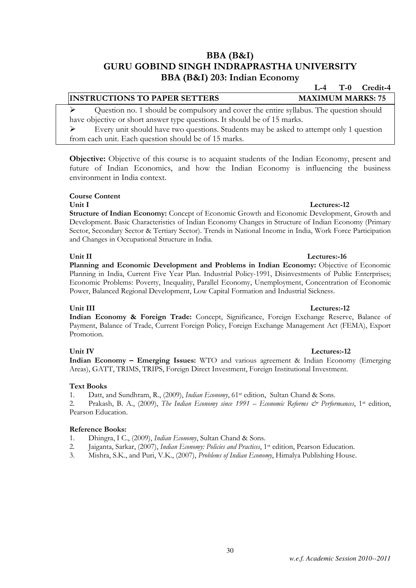### BBA (B&I) GURU GOBIND SINGH INDRAPRASTHA UNIVERSITY BBA (B&I) 203: Indian Economy

### **INSTRUCTIONS TO PAPER SETTERS MAXIMUM MARKS: 75**

 Question no. 1 should be compulsory and cover the entire syllabus. The question should have objective or short answer type questions. It should be of 15 marks.

 $\triangleright$  Every unit should have two questions. Students may be asked to attempt only 1 question from each unit. Each question should be of 15 marks.

Objective: Objective of this course is to acquaint students of the Indian Economy, present and future of Indian Economics, and how the Indian Economy is influencing the business environment in India context.

### Course Content

Unit I Lectures:-12 Structure of Indian Economy: Concept of Economic Growth and Economic Development, Growth and Development. Basic Characteristics of Indian Economy Changes in Structure of Indian Economy (Primary Sector, Secondary Sector & Tertiary Sector). Trends in National Income in India, Work Force Participation and Changes in Occupational Structure in India.

### Unit II Lectures: 16

Planning and Economic Development and Problems in Indian Economy: Objective of Economic Planning in India, Current Five Year Plan. Industrial Policy-1991, Disinvestments of Public Enterprises; Economic Problems: Poverty, Inequality, Parallel Economy, Unemployment, Concentration of Economic Power, Balanced Regional Development, Low Capital Formation and Industrial Sickness.

### Unit III Lectures:-12

Indian Economy & Foreign Trade: Concept, Significance, Foreign Exchange Reserve, Balance of Payment, Balance of Trade, Current Foreign Policy, Foreign Exchange Management Act (FEMA), Export Promotion.

Unit IV Lectures:-12 Indian Economy – Emerging Issues: WTO and various agreement & Indian Economy (Emerging Areas), GATT, TRIMS, TRIPS, Foreign Direct Investment, Foreign Institutional Investment.

### Text Books

1. Datt, and Sundhram, R., (2009), Indian Economy, 61st edition, Sultan Chand & Sons.

2. Prakash, B. A., (2009), The Indian Economy since 1991 – Economic Reforms & Performances, 1st edition, Pearson Education.

### Reference Books:

- 1. Dhingra, I C., (2009), *Indian Economy*, Sultan Chand & Sons.
- 2. Jaiganta, Sarkar, (2007), Indian Economy: Policies and Practices, 1st edition, Pearson Education.
- 3. Mishra, S.K., and Puri, V.K., (2007), Problems of Indian Economy, Himalya Publishing House.

L-4 T-0 Credit-4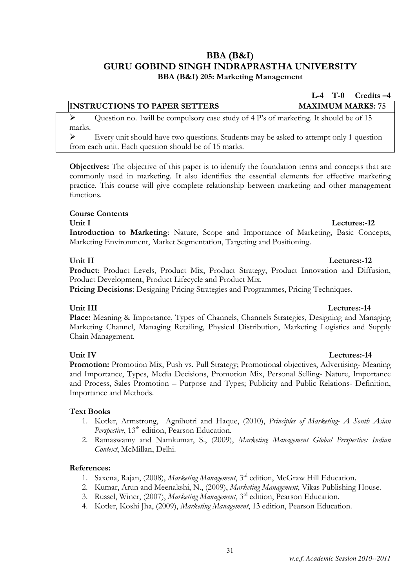### BBA (B&I) GURU GOBIND SINGH INDRAPRASTHA UNIVERSITY BBA (B&I) 205: Marketing Management

### INSTRUCTIONS TO PAPER SETTERS MAXIMUM MARKS: 75

 $\triangleright$  Ouestion no. 1 will be compulsory case study of 4 P's of marketing. It should be of 15 marks.

 Every unit should have two questions. Students may be asked to attempt only 1 question from each unit. Each question should be of 15 marks.

Objectives: The objective of this paper is to identify the foundation terms and concepts that are commonly used in marketing. It also identifies the essential elements for effective marketing practice. This course will give complete relationship between marketing and other management functions.

### Course Contents

### Unit I Lectures: 12

Introduction to Marketing: Nature, Scope and Importance of Marketing, Basic Concepts, Marketing Environment, Market Segmentation, Targeting and Positioning.

### Unit II Lectures: 12

Product: Product Levels, Product Mix, Product Strategy, Product Innovation and Diffusion, Product Development, Product Lifecycle and Product Mix.

Pricing Decisions: Designing Pricing Strategies and Programmes, Pricing Techniques.

Place: Meaning & Importance, Types of Channels, Channels Strategies, Designing and Managing Marketing Channel, Managing Retailing, Physical Distribution, Marketing Logistics and Supply Chain Management.

### Unit IV Lectures:-14

Promotion: Promotion Mix, Push vs. Pull Strategy; Promotional objectives, Advertising- Meaning and Importance, Types, Media Decisions, Promotion Mix, Personal Selling- Nature, Importance and Process, Sales Promotion – Purpose and Types; Publicity and Public Relations- Definition, Importance and Methods.

### Text Books

- 1. Kotler, Armstrong, Agnihotri and Haque, (2010), Principles of Marketing- A South Asian Perspective, 13<sup>th</sup> edition, Pearson Education.
- 2. Ramaswamy and Namkumar, S., (2009), Marketing Management Global Perspective: Indian Context, McMillan, Delhi.

### References:

- 1. Saxena, Rajan, (2008), Marketing Management, 3rd edition, McGraw Hill Education.
- 2. Kumar, Arun and Meenakshi, N., (2009), Marketing Management, Vikas Publishing House.
- 3. Russel, Winer, (2007), Marketing Management, 3<sup>rd</sup> edition, Pearson Education.
- 4. Kotler, Koshi Jha, (2009), Marketing Management, 13 edition, Pearson Education.

### *w.e.f. Academic Session 2010--2011*

### Unit III Lectures:-14

L-4 T-0 Credits –4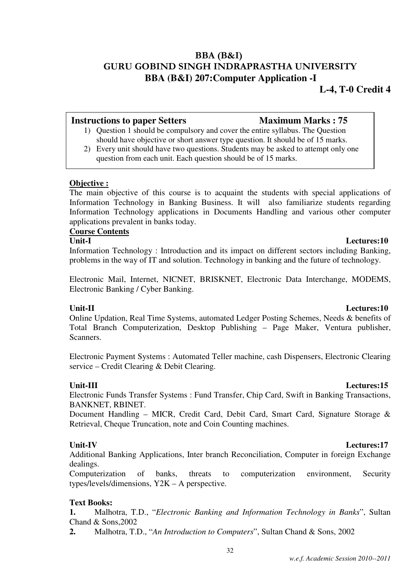## BBA (B&I) GURU GOBIND SINGH INDRAPRASTHA UNIVERSITY **BBA (B&I) 207:Computer Application -I**

### **Instructions to paper Setters Maximum Marks : 75**

- 1) Question 1 should be compulsory and cover the entire syllabus. The Question should have objective or short answer type question. It should be of 15 marks.
- 2) Every unit should have two questions. Students may be asked to attempt only one question from each unit. Each question should be of 15 marks.

### **Objective :**

The main objective of this course is to acquaint the students with special applications of Information Technology in Banking Business. It will also familiarize students regarding Information Technology applications in Documents Handling and various other computer applications prevalent in banks today.

### **Course Contents**

### **Unit-I Lectures:10**

Information Technology : Introduction and its impact on different sectors including Banking, problems in the way of IT and solution. Technology in banking and the future of technology.

Electronic Mail, Internet, NICNET, BRISKNET, Electronic Data Interchange, MODEMS, Electronic Banking / Cyber Banking.

### **Unit-II Lectures:10**

Online Updation, Real Time Systems, automated Ledger Posting Schemes, Needs & benefits of Total Branch Computerization, Desktop Publishing – Page Maker, Ventura publisher, Scanners.

Electronic Payment Systems : Automated Teller machine, cash Dispensers, Electronic Clearing service – Credit Clearing & Debit Clearing.

### **Unit-III Lectures:15**

Electronic Funds Transfer Systems : Fund Transfer, Chip Card, Swift in Banking Transactions, BANKNET, RBINET.

Document Handling – MICR, Credit Card, Debit Card, Smart Card, Signature Storage & Retrieval, Cheque Truncation, note and Coin Counting machines.

### **Unit-IV Lectures:17**

Additional Banking Applications, Inter branch Reconciliation, Computer in foreign Exchange dealings.

Computerization of banks, threats to computerization environment, Security types/levels/dimensions, Y2K – A perspective.

### **Text Books:**

**1.** Malhotra, T.D., "*Electronic Banking and Information Technology in Banks*", Sultan Chand & Sons,2002

**2.** Malhotra, T.D., "*An Introduction to Computers*", Sultan Chand & Sons, 2002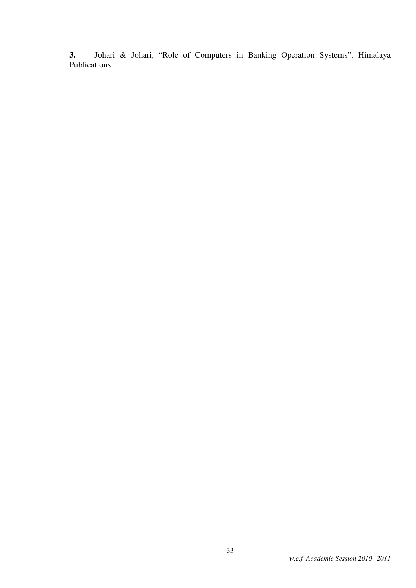**3.** Johari & Johari, "Role of Computers in Banking Operation Systems", Himalaya Publications.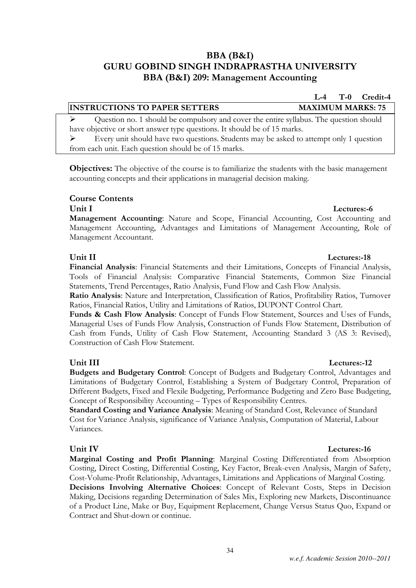### BBA (B&I) GURU GOBIND SINGH INDRAPRASTHA UNIVERSITY BBA (B&I) 209: Management Accounting

## INSTRUCTIONS TO PAPER SETTERS MAXIMUM MARKS: 75

 $\triangleright$  Question no. 1 should be compulsory and cover the entire syllabus. The question should have objective or short answer type questions. It should be of 15 marks. Every unit should have two questions. Students may be asked to attempt only 1 question

from each unit. Each question should be of 15 marks.

Objectives: The objective of the course is to familiarize the students with the basic management accounting concepts and their applications in managerial decision making.

### Course Contents

### Unit I Lectures:-6

Management Accounting: Nature and Scope, Financial Accounting, Cost Accounting and Management Accounting, Advantages and Limitations of Management Accounting, Role of Management Accountant.

### Unit II Lectures:-18

Financial Analysis: Financial Statements and their Limitations, Concepts of Financial Analysis, Tools of Financial Analysis: Comparative Financial Statements, Common Size Financial Statements, Trend Percentages, Ratio Analysis, Fund Flow and Cash Flow Analysis.

Ratio Analysis: Nature and Interpretation, Classification of Ratios, Profitability Ratios, Turnover Ratios, Financial Ratios, Utility and Limitations of Ratios, DUPONT Control Chart.

Funds & Cash Flow Analysis: Concept of Funds Flow Statement, Sources and Uses of Funds, Managerial Uses of Funds Flow Analysis, Construction of Funds Flow Statement, Distribution of Cash from Funds, Utility of Cash Flow Statement, Accounting Standard 3 (AS 3: Revised), Construction of Cash Flow Statement.

Budgets and Budgetary Control: Concept of Budgets and Budgetary Control, Advantages and Limitations of Budgetary Control, Establishing a System of Budgetary Control, Preparation of Different Budgets, Fixed and Flexile Budgeting, Performance Budgeting and Zero Base Budgeting, Concept of Responsibility Accounting – Types of Responsibility Centres.

Standard Costing and Variance Analysis: Meaning of Standard Cost, Relevance of Standard Cost for Variance Analysis, significance of Variance Analysis, Computation of Material, Labour Variances.

### Unit IV Lectures:-16

Marginal Costing and Profit Planning: Marginal Costing Differentiated from Absorption Costing, Direct Costing, Differential Costing, Key Factor, Break-even Analysis, Margin of Safety, Cost-Volume-Profit Relationship, Advantages, Limitations and Applications of Marginal Costing. Decisions Involving Alternative Choices: Concept of Relevant Costs, Steps in Decision Making, Decisions regarding Determination of Sales Mix, Exploring new Markets, Discontinuance of a Product Line, Make or Buy, Equipment Replacement, Change Versus Status Quo, Expand or Contract and Shut-down or continue.

34

### Unit III Lectures:-12

L-4 T-0 Credit-4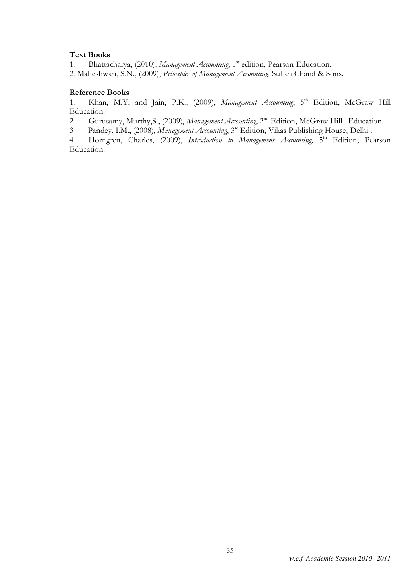### Text Books

1. Bhattacharya, (2010), Management Accounting, 1<sup>st</sup> edition, Pearson Education. 2. Maheshwari, S.N., (2009), Principles of Management Accounting, Sultan Chand & Sons.

### Reference Books

1. Khan, M.Y, and Jain, P.K., (2009), Management Accounting, 5<sup>th</sup> Edition, McGraw Hill Education.

2 Gurusamy, Murthy, S., (2009), Management Accounting, 2<sup>nd</sup> Edition, McGraw Hill. Education.

3 Pandey, I.M., (2008), Management Accounting, 3<sup>rd</sup> Edition, Vikas Publishing House, Delhi.

4 Horngren, Charles, (2009), *Introduction to Management Accounting*, 5<sup>th</sup> Edition, Pearson Education.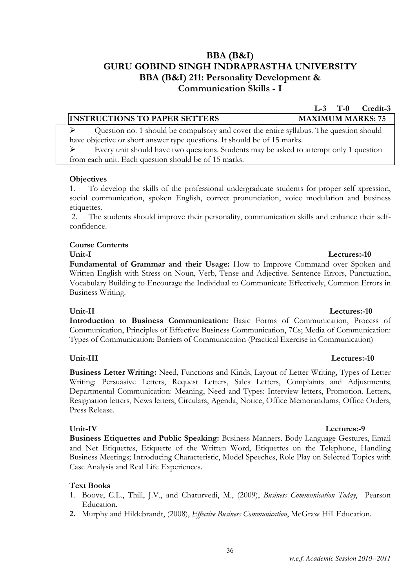## BBA (B&I) GURU GOBIND SINGH INDRAPRASTHA UNIVERSITY BBA (B&I) 211: Personality Development & Communication Skills - I

### INSTRUCTIONS TO PAPER SETTERS MAXIMUM MARKS: 75

 $\triangleright$  Question no. 1 should be compulsory and cover the entire syllabus. The question should have objective or short answer type questions. It should be of 15 marks.

 Every unit should have two questions. Students may be asked to attempt only 1 question from each unit. Each question should be of 15 marks.

### **Objectives**

1. To develop the skills of the professional undergraduate students for proper self xpression, social communication, spoken English, correct pronunciation, voice modulation and business etiquettes.

 2. The students should improve their personality, communication skills and enhance their selfconfidence.

### Course Contents

Fundamental of Grammar and their Usage: How to Improve Command over Spoken and Written English with Stress on Noun, Verb, Tense and Adjective. Sentence Errors, Punctuation, Vocabulary Building to Encourage the Individual to Communicate Effectively, Common Errors in Business Writing.

### Unit-II Lectures:-10

Introduction to Business Communication: Basic Forms of Communication, Process of Communication, Principles of Effective Business Communication, 7Cs; Media of Communication: Types of Communication: Barriers of Communication (Practical Exercise in Communication)

### Unit-III Lectures:-10

Business Letter Writing: Need, Functions and Kinds, Layout of Letter Writing, Types of Letter Writing: Persuasive Letters, Request Letters, Sales Letters, Complaints and Adjustments; Departmental Communication: Meaning, Need and Types: Interview letters, Promotion. Letters, Resignation letters, News letters, Circulars, Agenda, Notice, Office Memorandums, Office Orders, Press Release.

### Unit-IV Lectures:-9

Business Etiquettes and Public Speaking: Business Manners. Body Language Gestures, Email and Net Etiquettes, Etiquette of the Written Word, Etiquettes on the Telephone, Handling Business Meetings; Introducing Characteristic, Model Speeches, Role Play on Selected Topics with Case Analysis and Real Life Experiences.

### Text Books

- 1. Boove, C.L., Thill, J.V., and Chaturvedi, M., (2009), Business Communication Today, Pearson Education.
- 2. Murphy and Hildebrandt, (2008), *Effective Business Communication*, McGraw Hill Education.

### Unit-I Lectures:-10

### L-3 T-0 Credit-3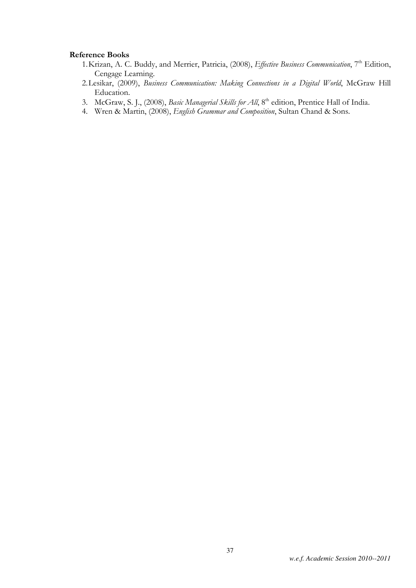### Reference Books

- 1. Krizan, A. C. Buddy, and Merrier, Patricia, (2008), Effective Business Communication, 7<sup>th</sup> Edition, Cengage Learning.
- 2. Lesikar, (2009), Business Communication: Making Connections in a Digital World, McGraw Hill Education.
- 3. McGraw, S. J., (2008), Basic Managerial Skills for All, 8<sup>th</sup> edition, Prentice Hall of India.
- 4. Wren & Martin, (2008), English Grammar and Composition, Sultan Chand & Sons.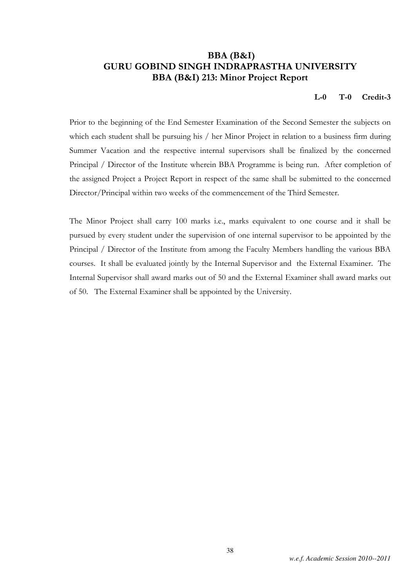### BBA (B&I) GURU GOBIND SINGH INDRAPRASTHA UNIVERSITY BBA (B&I) 213: Minor Project Report

### L-0 T-0 Credit-3

Prior to the beginning of the End Semester Examination of the Second Semester the subjects on which each student shall be pursuing his / her Minor Project in relation to a business firm during Summer Vacation and the respective internal supervisors shall be finalized by the concerned Principal / Director of the Institute wherein BBA Programme is being run. After completion of the assigned Project a Project Report in respect of the same shall be submitted to the concerned Director/Principal within two weeks of the commencement of the Third Semester.

The Minor Project shall carry 100 marks i.e., marks equivalent to one course and it shall be pursued by every student under the supervision of one internal supervisor to be appointed by the Principal / Director of the Institute from among the Faculty Members handling the various BBA courses. It shall be evaluated jointly by the Internal Supervisor and the External Examiner. The Internal Supervisor shall award marks out of 50 and the External Examiner shall award marks out of 50. The External Examiner shall be appointed by the University.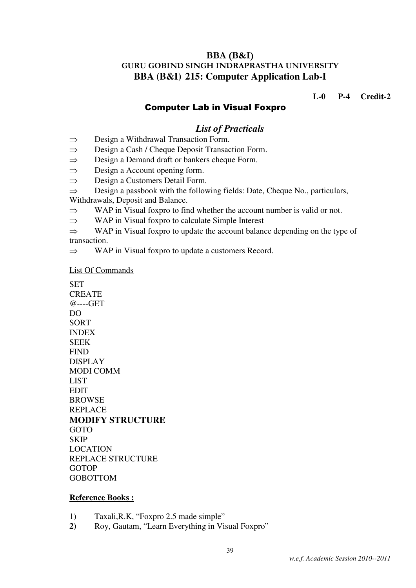### BBA (B&I) GURU GOBIND SINGH INDRAPRASTHA UNIVERSITY **BBA (B&I) 215: Computer Application Lab-I**

**L-0 P-4 Credit-2** 

### Computer Lab in Visual Foxpro

### *List of Practicals*

- ⇒ Design a Withdrawal Transaction Form.
- ⇒ Design a Cash / Cheque Deposit Transaction Form.
- ⇒ Design a Demand draft or bankers cheque Form.
- $\Rightarrow$  Design a Account opening form.
- ⇒ Design a Customers Detail Form.

⇒ Design a passbook with the following fields: Date, Cheque No., particulars, Withdrawals, Deposit and Balance.

- ⇒ WAP in Visual foxpro to find whether the account number is valid or not.
- ⇒ WAP in Visual foxpro to calculate Simple Interest
- $\Rightarrow$  WAP in Visual foxpro to update the account balance depending on the type of transaction.
- ⇒ WAP in Visual foxpro to update a customers Record.

List Of Commands

**SET CREATE** @----GET DO SORT INDEX SEEK FIND DISPLAY MODI COMM **LIST EDIT** BROWSE REPLACE **MODIFY STRUCTURE**  GOTO **SKIP** LOCATION REPLACE STRUCTURE GOTOP GOBOTTOM

### **Reference Books :**

- 1) Taxali,R.K, "Foxpro 2.5 made simple"
- **2)** Roy, Gautam, "Learn Everything in Visual Foxpro"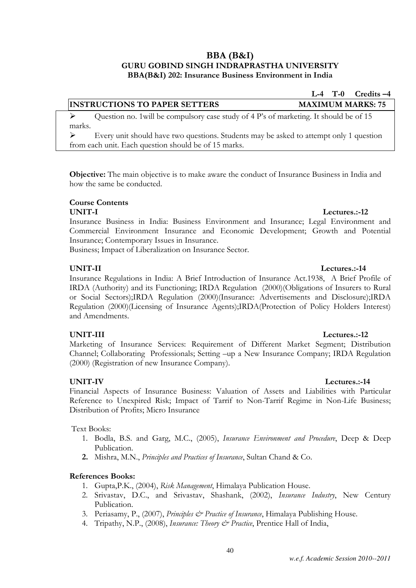### BBA (B&I) GURU GOBIND SINGH INDRAPRASTHA UNIVERSITY BBA(B&I) 202: Insurance Business Environment in India

 $\triangleright$  Question no. 1 will be compulsory case study of 4 P's of marketing. It should be of 15 marks.

 Every unit should have two questions. Students may be asked to attempt only 1 question from each unit. Each question should be of 15 marks.

Objective: The main objective is to make aware the conduct of Insurance Business in India and how the same be conducted.

### Course Contents

Insurance Business in India: Business Environment and Insurance; Legal Environment and Commercial Environment Insurance and Economic Development; Growth and Potential Insurance; Contemporary Issues in Insurance.

Business; Impact of Liberalization on Insurance Sector.

### UNIT-II Lectures.:-14

Insurance Regulations in India: A Brief Introduction of Insurance Act.1938, A Brief Profile of IRDA (Authority) and its Functioning; IRDA Regulation (2000)(Obligations of Insurers to Rural or Social Sectors);IRDA Regulation (2000)(Insurance: Advertisements and Disclosure);IRDA Regulation (2000)(Licensing of Insurance Agents);IRDA(Protection of Policy Holders Interest) and Amendments.

### UNIT-III Lectures.:-12

Marketing of Insurance Services: Requirement of Different Market Segment; Distribution Channel; Collaborating Professionals; Setting –up a New Insurance Company; IRDA Regulation (2000) (Registration of new Insurance Company).

### UNIT-IV Lectures.:-14

Financial Aspects of Insurance Business: Valuation of Assets and Liabilities with Particular Reference to Unexpired Risk; Impact of Tarrif to Non-Tarrif Regime in Non-Life Business; Distribution of Profits; Micro Insurance

Text Books:

- 1. Bodla, B.S. and Garg, M.C., (2005), Insurance Environment and Procedure, Deep & Deep Publication.
- 2. Mishra, M.N., Principles and Practices of Insurance, Sultan Chand & Co.

### References Books:

- 1. Gupta,P.K., (2004), Risk Management, Himalaya Publication House.
- 2. Srivastav, D.C., and Srivastav, Shashank, (2002), Insurance Industry, New Century Publication.
- 3. Periasamy, P., (2007), *Principles*  $\mathcal{Q}$  *Practice of Insurance*, Himalaya Publishing House.
- 4. Tripathy, N.P., (2008), *Insurance: Theory & Practice*, Prentice Hall of India,

### UNIT-I Lectures.:-12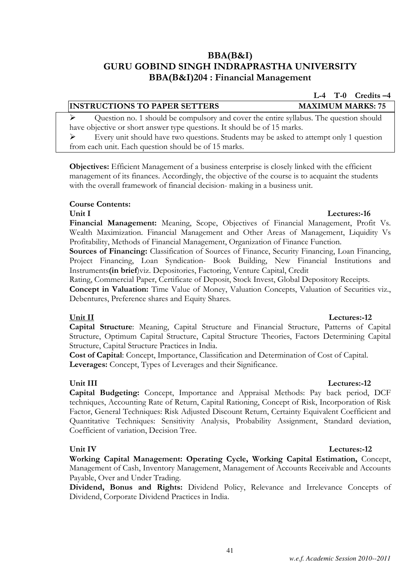### BBA(B&I) GURU GOBIND SINGH INDRAPRASTHA UNIVERSITY BBA(B&I)204 : Financial Management

## INSTRUCTIONS TO PAPER SETTERS MAXIMUM MARKS: 75

 Question no. 1 should be compulsory and cover the entire syllabus. The question should have objective or short answer type questions. It should be of 15 marks.

 $\triangleright$  Every unit should have two questions. Students may be asked to attempt only 1 question from each unit. Each question should be of 15 marks.

Objectives: Efficient Management of a business enterprise is closely linked with the efficient management of its finances. Accordingly, the objective of the course is to acquaint the students with the overall framework of financial decision- making in a business unit.

### Course Contents:

Financial Management: Meaning, Scope, Objectives of Financial Management, Profit Vs. Wealth Maximization. Financial Management and Other Areas of Management, Liquidity Vs Profitability, Methods of Financial Management, Organization of Finance Function.

Sources of Financing: Classification of Sources of Finance, Security Financing, Loan Financing, Project Financing, Loan Syndication- Book Building, New Financial Institutions and Instruments(in brief)viz. Depositories, Factoring, Venture Capital, Credit

Rating, Commercial Paper, Certificate of Deposit, Stock Invest, Global Depository Receipts.

Concept in Valuation: Time Value of Money, Valuation Concepts, Valuation of Securities viz., Debentures, Preference shares and Equity Shares.

### Unit II Lectures:-12

Capital Structure: Meaning, Capital Structure and Financial Structure, Patterns of Capital Structure, Optimum Capital Structure, Capital Structure Theories, Factors Determining Capital Structure, Capital Structure Practices in India.

Cost of Capital: Concept, Importance, Classification and Determination of Cost of Capital. Leverages: Concept, Types of Leverages and their Significance.

Capital Budgeting: Concept, Importance and Appraisal Methods: Pay back period, DCF techniques, Accounting Rate of Return, Capital Rationing, Concept of Risk, Incorporation of Risk Factor, General Techniques: Risk Adjusted Discount Return, Certainty Equivalent Coefficient and Quantitative Techniques: Sensitivity Analysis, Probability Assignment, Standard deviation, Coefficient of variation, Decision Tree.

### Unit IV Lectures: 12

Working Capital Management: Operating Cycle, Working Capital Estimation, Concept, Management of Cash, Inventory Management, Management of Accounts Receivable and Accounts Payable, Over and Under Trading.

Dividend, Bonus and Rights: Dividend Policy, Relevance and Irrelevance Concepts of Dividend, Corporate Dividend Practices in India.

41

### Unit III Lectures:-12

L-4 T-0 Credits –4

## Unit I Lectures: 16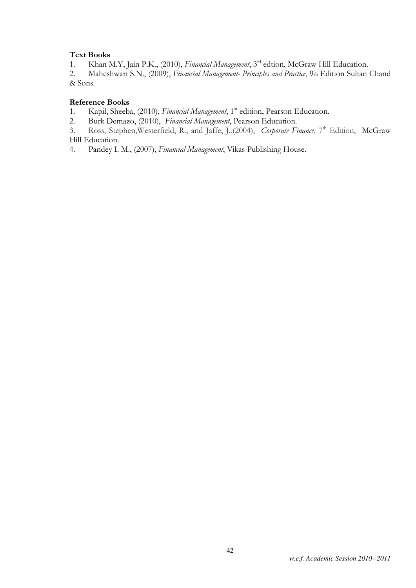### Text Books

1. Khan M.Y, Jain P.K., (2010), Financial Management, 3<sup>rd</sup> edtion, McGraw Hill Education.

2. Maheshwari S.N., (2009), Financial Management- Principles and Practice, 9th Edition Sultan Chand & Sons.

### Reference Books

1. Kapil, Sheeba, (2010), Financial Management, 1<sup>st</sup> edition, Pearson Education.

2. Burk Demazo, (2010), Financial Management, Pearson Education.

3. Ross, Stephen, Westerfield, R., and Jaffe, J.,(2004), Corporate Finance,  $7<sup>th</sup>$  Edition, McGraw Hill Education.

4. Pandey I. M., (2007), Financial Management, Vikas Publishing House.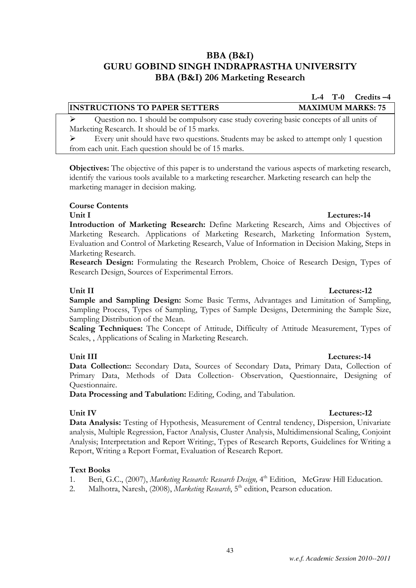## BBA (B&I) GURU GOBIND SINGH INDRAPRASTHA UNIVERSITY BBA (B&I) 206 Marketing Research

 $\triangleright$  Question no. 1 should be compulsory case study covering basic concepts of all units of Marketing Research. It should be of 15 marks.

 $\triangleright$  Every unit should have two questions. Students may be asked to attempt only 1 question from each unit. Each question should be of 15 marks.

Objectives: The objective of this paper is to understand the various aspects of marketing research, identify the various tools available to a marketing researcher. Marketing research can help the marketing manager in decision making.

### Course Contents

### Unit I Lectures: 14

Introduction of Marketing Research: Define Marketing Research, Aims and Objectives of Marketing Research. Applications of Marketing Research, Marketing Information System, Evaluation and Control of Marketing Research, Value of Information in Decision Making, Steps in Marketing Research.

Research Design: Formulating the Research Problem, Choice of Research Design, Types of Research Design, Sources of Experimental Errors.

### Unit II Lectures: 12

Sample and Sampling Design: Some Basic Terms, Advantages and Limitation of Sampling, Sampling Process, Types of Sampling, Types of Sample Designs, Determining the Sample Size, Sampling Distribution of the Mean.

Scaling Techniques: The Concept of Attitude, Difficulty of Attitude Measurement, Types of Scales, , Applications of Scaling in Marketing Research.

### Unit III Lectures:-14

Data Collection:: Secondary Data, Sources of Secondary Data, Primary Data, Collection of Primary Data, Methods of Data Collection- Observation, Questionnaire, Designing of Questionnaire.

Data Processing and Tabulation: Editing, Coding, and Tabulation.

Unit IV Lectures:-12

Data Analysis: Testing of Hypothesis, Measurement of Central tendency, Dispersion, Univariate analysis, Multiple Regression, Factor Analysis, Cluster Analysis, Multidimensional Scaling, Conjoint Analysis; Interpretation and Report Writing:, Types of Research Reports, Guidelines for Writing a Report, Writing a Report Format, Evaluation of Research Report.

### Text Books

- 1. Beri, G.C., (2007), Marketing Research: Research Design, 4<sup>th</sup> Edition, McGraw Hill Education.
- 2. Malhotra, Naresh, (2008), Marketing Research, 5<sup>th</sup> edition, Pearson education.

L-4 T-0 Credits –4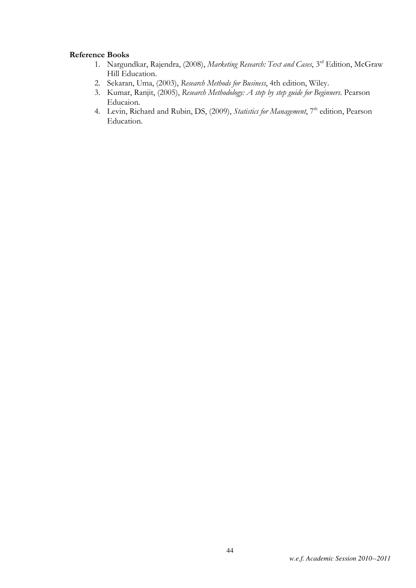### Reference Books

- 1. Nargundkar, Rajendra, (2008), Marketing Research: Text and Cases, 3rd Edition, McGraw Hill Education.
- 2. Sekaran, Uma, (2003), Research Methods for Business, 4th edition, Wiley.
- 3. Kumar, Ranjit, (2005), Research Methodology: A step by step guide for Beginners. Pearson Educaion.
- 4. Levin, Richard and Rubin, DS, (2009), Statistics for Management, 7<sup>th</sup> edition, Pearson Education.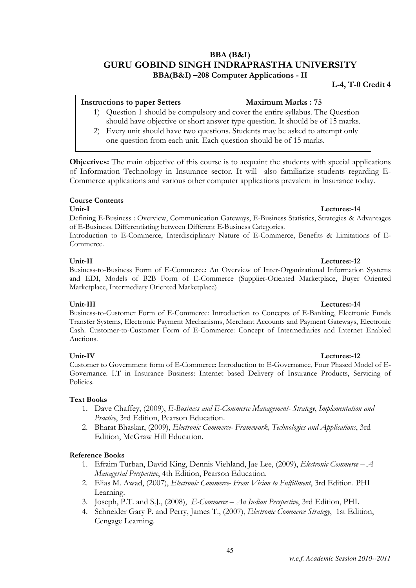### BBA (B&I) GURU GOBIND SINGH INDRAPRASTHA UNIVERSITY BBA(B&I) –208 Computer Applications - II

### L-4, T-0 Credit 4

## Instructions to paper Setters Maximum Marks : 75

- 1) Question 1 should be compulsory and cover the entire syllabus. The Question should have objective or short answer type question. It should be of 15 marks.
- 2) Every unit should have two questions. Students may be asked to attempt only one question from each unit. Each question should be of 15 marks.

Objectives: The main objective of this course is to acquaint the students with special applications of Information Technology in Insurance sector. It will also familiarize students regarding E-Commerce applications and various other computer applications prevalent in Insurance today.

### Course Contents

### Unit-I Lectures:-14

Defining E-Business : Overview, Communication Gateways, E-Business Statistics, Strategies & Advantages of E-Business. Differentiating between Different E-Business Categories.

Introduction to E-Commerce, Interdisciplinary Nature of E-Commerce, Benefits & Limitations of E-Commerce.

### Unit-II Lectures:-12

Business-to-Business Form of E-Commerce: An Overview of Inter-Organizational Information Systems and EDI, Models of B2B Form of E-Commerce (Supplier-Oriented Marketplace, Buyer Oriented Marketplace, Intermediary Oriented Marketplace)

Unit-III Lectures:-14 Business-to-Customer Form of E-Commerce: Introduction to Concepts of E-Banking, Electronic Funds Transfer Systems, Electronic Payment Mechanisms, Merchant Accounts and Payment Gateways, Electronic Cash. Customer-to-Customer Form of E-Commerce: Concept of Intermediaries and Internet Enabled Auctions.

### Unit-IV Lectures:-12

Customer to Government form of E-Commerce: Introduction to E-Governance, Four Phased Model of E-Governance. I.T in Insurance Business: Internet based Delivery of Insurance Products, Servicing of Policies.

### Text Books

- 1. Dave Chaffey, (2009), E-Business and E-Commerce Management- Strategy, Implementation and Practice, 3rd Edition, Pearson Education.
- 2. Bharat Bhaskar, (2009), Electronic Commerce- Framework, Technologies and Applications, 3rd Edition, McGraw Hill Education.

### Reference Books

- 1. Efraim Turban, David King, Dennis Viehland, Jae Lee, (2009), Electronic Commerce A Managerial Perspective, 4th Edition, Pearson Education.
- 2. Elias M. Awad, (2007), Electronic Commerce- From Vision to Fulfillment, 3rd Edition. PHI Learning.
- 3. Joseph, P.T. and S.J., (2008), E-Commerce An Indian Perspective, 3rd Edition, PHI.
- 4. Schneider Gary P. and Perry, James T., (2007), Electronic Commerce Strategy, 1st Edition, Cengage Learning.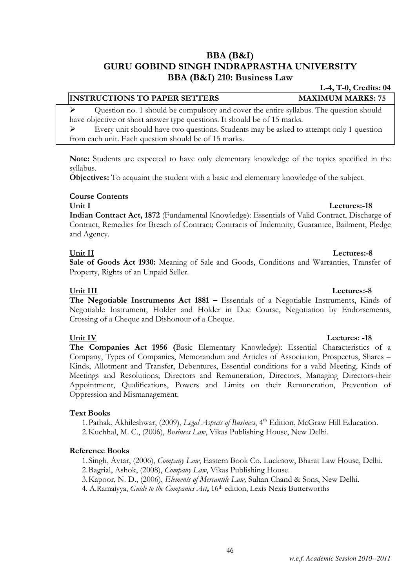### BBA (B&I) GURU GOBIND SINGH INDRAPRASTHA UNIVERSITY BBA (B&I) 210: Business Law

### INSTRUCTIONS TO PAPER SETTERS MAXIMUM MARKS: 75

 Question no. 1 should be compulsory and cover the entire syllabus. The question should have objective or short answer type questions. It should be of 15 marks.

 $\triangleright$  Every unit should have two questions. Students may be asked to attempt only 1 question from each unit. Each question should be of 15 marks.

Note: Students are expected to have only elementary knowledge of the topics specified in the syllabus.

Objectives: To acquaint the student with a basic and elementary knowledge of the subject.

### Course Contents

### Unit I Lectures: 18

Indian Contract Act, 1872 (Fundamental Knowledge): Essentials of Valid Contract, Discharge of Contract, Remedies for Breach of Contract; Contracts of Indemnity, Guarantee, Bailment, Pledge and Agency.

### Unit II Lectures:-8

Sale of Goods Act 1930: Meaning of Sale and Goods, Conditions and Warranties, Transfer of Property, Rights of an Unpaid Seller.

### Unit III Lectures:-8

The Negotiable Instruments Act 1881 – Essentials of a Negotiable Instruments, Kinds of Negotiable Instrument, Holder and Holder in Due Course, Negotiation by Endorsements, Crossing of a Cheque and Dishonour of a Cheque.

### Unit IV Lectures: -18

The Companies Act 1956 (Basic Elementary Knowledge): Essential Characteristics of a Company, Types of Companies, Memorandum and Articles of Association, Prospectus, Shares – Kinds, Allotment and Transfer, Debentures, Essential conditions for a valid Meeting, Kinds of Meetings and Resolutions; Directors and Remuneration, Directors, Managing Directors-their Appointment, Qualifications, Powers and Limits on their Remuneration, Prevention of Oppression and Mismanagement.

### Text Books

1. Pathak, Akhileshwar, (2009), Legal Aspects of Business, 4<sup>th</sup> Edition, McGraw Hill Education. 2.Kuchhal, M. C., (2006), Business Law, Vikas Publishing House, New Delhi.

### Reference Books

1.Singh, Avtar, (2006), Company Law, Eastern Book Co. Lucknow, Bharat Law House, Delhi.

2.Bagrial, Ashok, (2008), Company Law, Vikas Publishing House.

3.Kapoor, N. D., (2006), Elements of Mercantile Law, Sultan Chand & Sons, New Delhi.

4. A.Ramaiyya, Guide to the Companies Act, 16<sup>th</sup> edition, Lexis Nexis Butterworths

# L-4, T-0, Credits: 04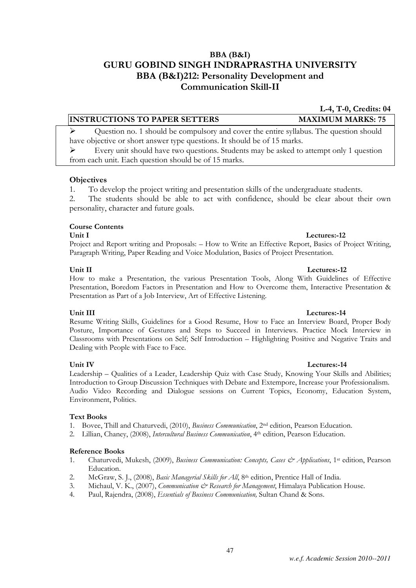### *w.e.f. Academic Session 2010--2011*

### BBA (B&I) GURU GOBIND SINGH INDRAPRASTHA UNIVERSITY BBA (B&I)212: Personality Development and Communication Skill-II

### INSTRUCTIONS TO PAPER SETTERS MAXIMUM MARKS: 75

 $\triangleright$  Question no. 1 should be compulsory and cover the entire syllabus. The question should have objective or short answer type questions. It should be of 15 marks.

 $\triangleright$  Every unit should have two questions. Students may be asked to attempt only 1 question from each unit. Each question should be of 15 marks.

### **Objectives**

1. To develop the project writing and presentation skills of the undergraduate students.

2. The students should be able to act with confidence, should be clear about their own personality, character and future goals.

### Course Contents

Unit I Lectures:-12

Project and Report writing and Proposals: – How to Write an Effective Report, Basics of Project Writing, Paragraph Writing, Paper Reading and Voice Modulation, Basics of Project Presentation.

How to make a Presentation, the various Presentation Tools, Along With Guidelines of Effective Presentation, Boredom Factors in Presentation and How to Overcome them, Interactive Presentation & Presentation as Part of a Job Interview, Art of Effective Listening.

Resume Writing Skills, Guidelines for a Good Resume, How to Face an Interview Board, Proper Body Posture, Importance of Gestures and Steps to Succeed in Interviews. Practice Mock Interview in Classrooms with Presentations on Self; Self Introduction – Highlighting Positive and Negative Traits and Dealing with People with Face to Face.

Leadership – Qualities of a Leader, Leadership Quiz with Case Study, Knowing Your Skills and Abilities; Introduction to Group Discussion Techniques with Debate and Extempore, Increase your Professionalism. Audio Video Recording and Dialogue sessions on Current Topics, Economy, Education System, Environment, Politics.

### Text Books

- 1. Bovee, Thill and Chaturvedi, (2010), Business Communication, 2nd edition, Pearson Education.
- 2. Lillian, Chaney, (2008), Intercultural Business Communication, 4<sup>th</sup> edition, Pearson Education.

### Reference Books

- 1. Chaturvedi, Mukesh, (2009), Business Communication: Concepts, Cases & Applications, 1<sup>st</sup> edition, Pearson Education.
- 2. McGraw, S. J., (2008), Basic Managerial Skills for All, 8<sup>th</sup> edition, Prentice Hall of India.
- 3. Michaul, V. K., (2007), *Communication & Research for Management*, Himalaya Publication House.
- 4. Paul, Rajendra, (2008), Essentials of Business Communication, Sultan Chand & Sons.

### Unit II Lectures:-12

### Unit III Lectures:-14

### Unit IV Lectures:-14

L-4, T-0, Credits: 04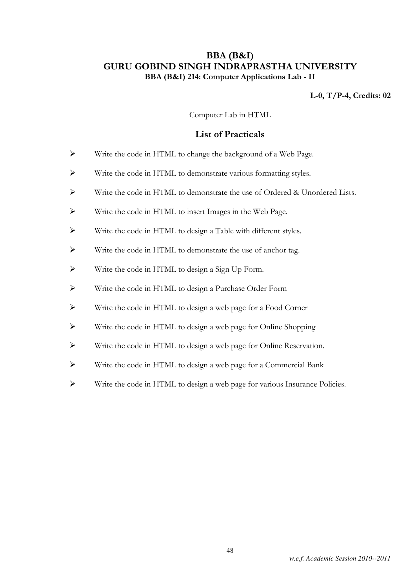### BBA (B&I) GURU GOBIND SINGH INDRAPRASTHA UNIVERSITY BBA (B&I) 214: Computer Applications Lab - II

### L-0, T/P-4, Credits: 02

Computer Lab in HTML

### List of Practicals

- Write the code in HTML to change the background of a Web Page.
- Write the code in HTML to demonstrate various formatting styles.
- $\triangleright$  Write the code in HTML to demonstrate the use of Ordered & Unordered Lists.
- Write the code in HTML to insert Images in the Web Page.
- Write the code in HTML to design a Table with different styles.
- Write the code in HTML to demonstrate the use of anchor tag.
- Write the code in HTML to design a Sign Up Form.
- Write the code in HTML to design a Purchase Order Form
- Write the code in HTML to design a web page for a Food Corner
- Write the code in HTML to design a web page for Online Shopping
- Write the code in HTML to design a web page for Online Reservation.
- Write the code in HTML to design a web page for a Commercial Bank
- Write the code in HTML to design a web page for various Insurance Policies.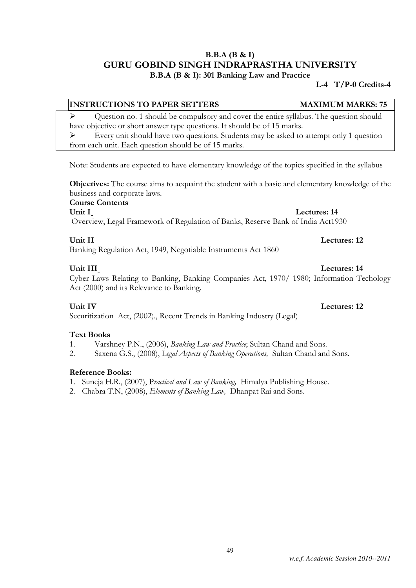### B.B.A (B & I) GURU GOBIND SINGH INDRAPRASTHA UNIVERSITY B.B.A (B & I): 301 Banking Law and Practice

### L-4 T/P-0 Credits-4

### INSTRUCTIONS TO PAPER SETTERS MAXIMUM MARKS: 75

 $\triangleright$  Question no. 1 should be compulsory and cover the entire syllabus. The question should have objective or short answer type questions. It should be of 15 marks.

 Every unit should have two questions. Students may be asked to attempt only 1 question from each unit. Each question should be of 15 marks.

Note: Students are expected to have elementary knowledge of the topics specified in the syllabus

Objectives: The course aims to acquaint the student with a basic and elementary knowledge of the business and corporate laws.

Course Contents

Unit I Lectures: 14

Overview, Legal Framework of Regulation of Banks, Reserve Bank of India Act1930

### Unit II Lectures: 12

Banking Regulation Act, 1949, Negotiable Instruments Act 1860

### Unit III Lectures: 14

Cyber Laws Relating to Banking, Banking Companies Act, 1970/ 1980; Information Techology Act (2000) and its Relevance to Banking.

Securitization Act, (2002)., Recent Trends in Banking Industry (Legal)

### Text Books

- 1. Varshney P.N., (2006), Banking Law and Practice; Sultan Chand and Sons.
- 2. Saxena G.S., (2008), Legal Aspects of Banking Operations, Sultan Chand and Sons.

### Reference Books:

- 1. Suneja H.R., (2007), Practical and Law of Banking, Himalya Publishing House.
- 2. Chabra T.N, (2008), Elements of Banking Law, Dhanpat Rai and Sons.

Unit IV Lectures: 12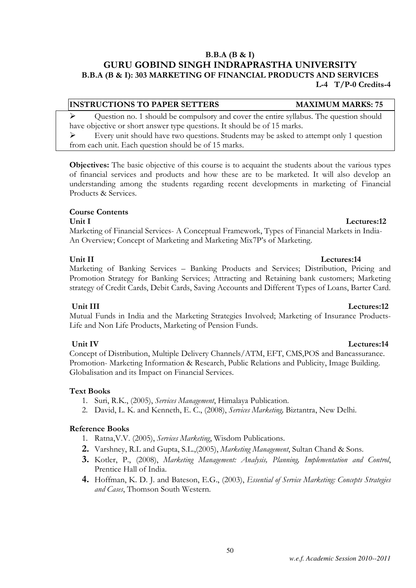### *w.e.f. Academic Session 2010--2011*

### B.B.A (B & I)

### GURU GOBIND SINGH INDRAPRASTHA UNIVERSITY B.B.A (B & I): 303 MARKETING OF FINANCIAL PRODUCTS AND SERVICES L-4 T/P-0 Credits-4

### INSTRUCTIONS TO PAPER SETTERS MAXIMUM MARKS: 75

 Question no. 1 should be compulsory and cover the entire syllabus. The question should have objective or short answer type questions. It should be of 15 marks.

 Every unit should have two questions. Students may be asked to attempt only 1 question from each unit. Each question should be of 15 marks.

Objectives: The basic objective of this course is to acquaint the students about the various types of financial services and products and how these are to be marketed. It will also develop an understanding among the students regarding recent developments in marketing of Financial Products & Services.

### Course Contents

Unit I Lectures:12 Marketing of Financial Services- A Conceptual Framework, Types of Financial Markets in India-An Overview; Concept of Marketing and Marketing Mix7P's of Marketing.

Marketing of Banking Services – Banking Products and Services; Distribution, Pricing and Promotion Strategy for Banking Services; Attracting and Retaining bank customers; Marketing strategy of Credit Cards, Debit Cards, Saving Accounts and Different Types of Loans, Barter Card.

Unit III Lectures:12 Mutual Funds in India and the Marketing Strategies Involved; Marketing of Insurance Products-Life and Non Life Products, Marketing of Pension Funds.

Unit IV Lectures:14 Concept of Distribution, Multiple Delivery Channels/ATM, EFT, CMS,POS and Bancassurance. Promotion- Marketing Information & Research, Public Relations and Publicity, Image Building. Globalisation and its Impact on Financial Services.

### Text Books

- 1. Suri, R.K., (2005), Services Management, Himalaya Publication.
- 2. David, L. K. and Kenneth, E. C., (2008), Services Marketing, Biztantra, New Delhi.

### Reference Books

- 1. Ratna,V.V. (2005), Services Marketing, Wisdom Publications.
- 2. Varshney, R.L and Gupta, S.L.,(2005), Marketing Management, Sultan Chand & Sons.
- 3. Kotler, P., (2008), Marketing Management: Analysis, Planning, Implementation and Control, Prentice Hall of India.
- 4. Hoffman, K. D. J. and Bateson, E.G., (2003), *Essential of Service Marketing: Concepts Strategies* and Cases, Thomson South Western.

### Unit II Lectures:14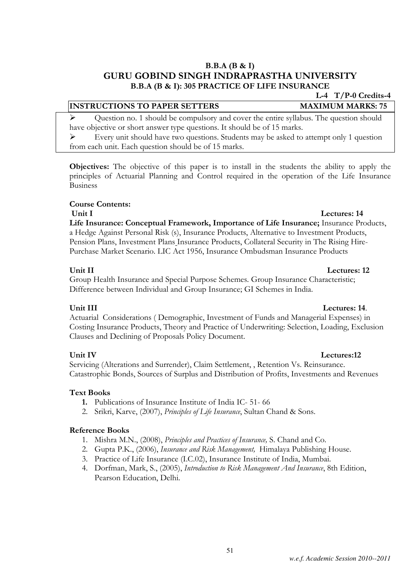### B.B.A (B & I) GURU GOBIND SINGH INDRAPRASTHA UNIVERSITY B.B.A (B & I): 305 PRACTICE OF LIFE INSURANCE

### INSTRUCTIONS TO PAPER SETTERS MAXIMUM MARKS: 75

 Question no. 1 should be compulsory and cover the entire syllabus. The question should have objective or short answer type questions. It should be of 15 marks.  $\triangleright$  Every unit should have two questions. Students may be asked to attempt only 1 question

from each unit. Each question should be of 15 marks.

Objectives: The objective of this paper is to install in the students the ability to apply the principles of Actuarial Planning and Control required in the operation of the Life Insurance Business

### Course Contents:

### Unit I Lectures: 14

Life Insurance: Conceptual Framework, Importance of Life Insurance; Insurance Products, a Hedge Against Personal Risk (s), Insurance Products, Alternative to Investment Products, Pension Plans, Investment Plans Insurance Products, Collateral Security in The Rising Hire-Purchase Market Scenario. LIC Act 1956, Insurance Ombudsman Insurance Products

### Unit II Lectures: 12

Group Health Insurance and Special Purpose Schemes. Group Insurance Characteristic; Difference between Individual and Group Insurance; GI Schemes in India.

### Unit III Lectures: 14.

Actuarial Considerations ( Demographic, Investment of Funds and Managerial Expenses) in Costing Insurance Products, Theory and Practice of Underwriting: Selection, Loading, Exclusion Clauses and Declining of Proposals Policy Document.

### Unit IV Lectures:12

Servicing (Alterations and Surrender), Claim Settlement, , Retention Vs. Reinsurance. Catastrophic Bonds, Sources of Surplus and Distribution of Profits, Investments and Revenues

### Text Books

- 1. Publications of Insurance Institute of India IC- 51- 66
- 2. Srikri, Karve, (2007), Principles of Life Insurance, Sultan Chand & Sons.

### Reference Books

- 1. Mishra M.N., (2008), Principles and Practices of Insurance, S. Chand and Co.
- 2. Gupta P.K., (2006), *Insurance and Risk Management*, Himalaya Publishing House.
- 3. Practice of Life Insurance (I.C.02), Insurance Institute of India, Mumbai.
- 4. Dorfman, Mark, S., (2005), Introduction to Risk Management And Insurance, 8th Edition, Pearson Education, Delhi.

L-4 T/P-0 Credits-4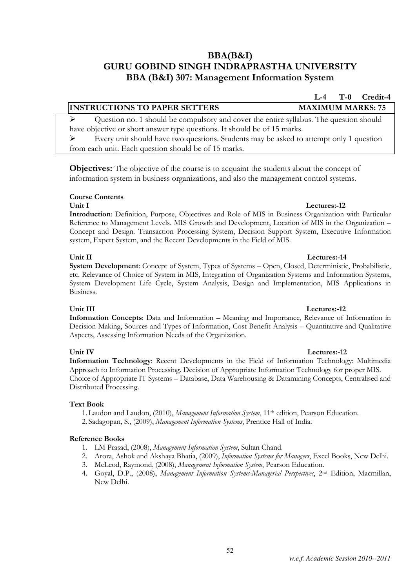### BBA(B&I) GURU GOBIND SINGH INDRAPRASTHA UNIVERSITY BBA (B&I) 307: Management Information System

 Question no. 1 should be compulsory and cover the entire syllabus. The question should have objective or short answer type questions. It should be of 15 marks.

 $\triangleright$  Every unit should have two questions. Students may be asked to attempt only 1 question from each unit. Each question should be of 15 marks.

Objectives: The objective of the course is to acquaint the students about the concept of information system in business organizations, and also the management control systems.

### Course Contents

Introduction: Definition, Purpose, Objectives and Role of MIS in Business Organization with Particular Reference to Management Levels. MIS Growth and Development, Location of MIS in the Organization – Concept and Design. Transaction Processing System, Decision Support System, Executive Information system, Expert System, and the Recent Developments in the Field of MIS.

Unit II Lectures:-14 System Development: Concept of System, Types of Systems – Open, Closed, Deterministic, Probabilistic, etc. Relevance of Choice of System in MIS, Integration of Organization Systems and Information Systems, System Development Life Cycle, System Analysis, Design and Implementation, MIS Applications in Business.

Information Concepts: Data and Information – Meaning and Importance, Relevance of Information in Decision Making, Sources and Types of Information, Cost Benefit Analysis – Quantitative and Qualitative Aspects, Assessing Information Needs of the Organization.

Information Technology: Recent Developments in the Field of Information Technology: Multimedia Approach to Information Processing. Decision of Appropriate Information Technology for proper MIS. Choice of Appropriate IT Systems – Database, Data Warehousing & Datamining Concepts, Centralised and Distributed Processing.

### Text Book

1. Laudon and Laudon, (2010), Management Information System, 11<sup>th</sup> edition, Pearson Education. 2. Sadagopan, S., (2009), Management Information Systems, Prentice Hall of India.

### Reference Books

- 1. LM Prasad, (2008), Management Information System, Sultan Chand.
- 2. Arora, Ashok and Akshaya Bhatia, (2009), *Information Systems for Managers*, Excel Books, New Delhi.
- 3. McLeod, Raymond, (2008), Management Information System, Pearson Education.
- 4. Goyal, D.P., (2008), Management Information Systems-Managerial Perspectives, 2<sup>nd</sup> Edition, Macmillan, New Delhi.

### Unit I Lectures:-12

## Unit III Lectures:-12

### Unit IV Lectures:-12

## L-4 T-0 Credit-4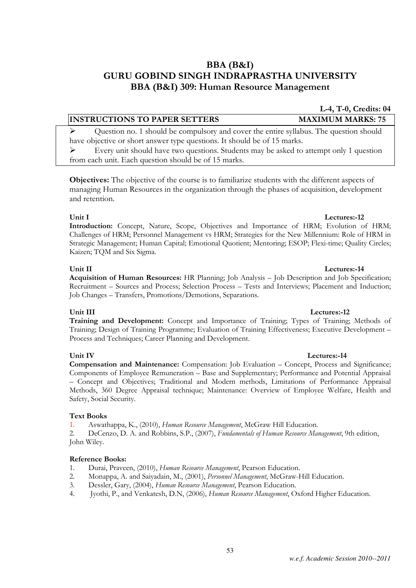## BBA (B&I) GURU GOBIND SINGH INDRAPRASTHA UNIVERSITY BBA (B&I) 309: Human Resource Management

### INSTRUCTIONS TO PAPER SETTERS MAXIMUM MARKS: 75

 Question no. 1 should be compulsory and cover the entire syllabus. The question should have objective or short answer type questions. It should be of 15 marks.

 $\triangleright$  Every unit should have two questions. Students may be asked to attempt only 1 question from each unit. Each question should be of 15 marks.

Objectives: The objective of the course is to familiarize students with the different aspects of managing Human Resources in the organization through the phases of acquisition, development and retention.

Introduction: Concept, Nature, Scope, Objectives and Importance of HRM; Evolution of HRM; Challenges of HRM; Personnel Management vs HRM; Strategies for the New Millennium: Role of HRM in Strategic Management; Human Capital; Emotional Quotient; Mentoring; ESOP; Flexi-time; Quality Circles; Kaizen; TQM and Six Sigma.

Acquisition of Human Resources: HR Planning; Job Analysis – Job Description and Job Specification; Recruitment – Sources and Process; Selection Process – Tests and Interviews; Placement and Induction; Job Changes – Transfers, Promotions/Demotions, Separations.

Training and Development: Concept and Importance of Training; Types of Training; Methods of Training; Design of Training Programme; Evaluation of Training Effectiveness; Executive Development – Process and Techniques; Career Planning and Development.

### Unit IV Lectures:-14

Compensation and Maintenance: Compensation: Job Evaluation – Concept, Process and Significance; Components of Employee Remuneration – Base and Supplementary; Performance and Potential Appraisal – Concept and Objectives; Traditional and Modern methods, Limitations of Performance Appraisal Methods, 360 Degree Appraisal technique; Maintenance: Overview of Employee Welfare, Health and Safety, Social Security.

### Text Books

1. Aswathappa, K., (2010), Human Resource Management, McGraw Hill Education.

2. DeCenzo, D. A. and Robbins, S.P., (2007), Fundamentals of Human Resource Management, 9th edition, John Wiley.

### Reference Books:

- 1. Durai, Praveen, (2010), Human Resource Management, Pearson Education.
- 2. Monappa, A. and Saiyadain, M., (2001), Personnel Management, McGraw-Hill Education.
- 3. Dessler, Gary, (2004), Human Resource Management, Pearson Education.
- 4. Jyothi, P., and Venkatesh, D.N, (2006), Human Resource Management, Oxford Higher Education.

### Unit I Lectures: 12

### Unit II Lectures:-14

### Unit III Lectures:-12

L-4, T-0, Credits: 04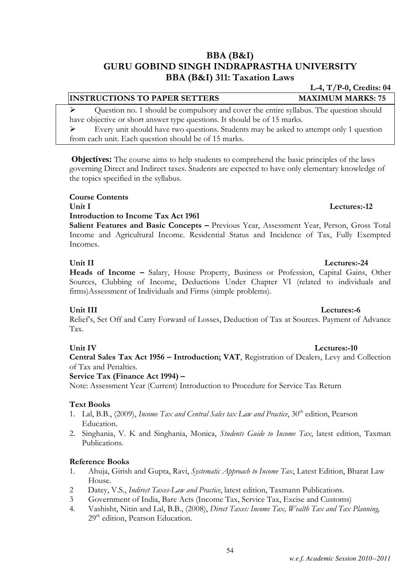### BBA (B&I) GURU GOBIND SINGH INDRAPRASTHA UNIVERSITY BBA (B&I) 311: Taxation Laws

## INSTRUCTIONS TO PAPER SETTERS MAXIMUM MARKS: 75

 Question no. 1 should be compulsory and cover the entire syllabus. The question should have objective or short answer type questions. It should be of 15 marks.

 $\triangleright$  Every unit should have two questions. Students may be asked to attempt only 1 question from each unit. Each question should be of 15 marks.

**Objectives:** The course aims to help students to comprehend the basic principles of the laws governing Direct and Indirect taxes. Students are expected to have only elementary knowledge of the topics specified in the syllabus.

### Course Contents

### Unit I Lectures:-12

### Introduction to Income Tax Act 1961

Salient Features and Basic Concepts - Previous Year, Assessment Year, Person, Gross Total Income and Agricultural Income. Residential Status and Incidence of Tax, Fully Exempted Incomes.

### Unit II Lectures:-24

Heads of Income – Salary, House Property, Business or Profession, Capital Gains, Other Sources, Clubbing of Income, Deductions Under Chapter VI (related to individuals and firms)Assessment of Individuals and Firms (simple problems).

Relief's, Set Off and Carry Forward of Losses, Deduction of Tax at Sources. Payment of Advance Tax.

### Unit IV Lectures:-10

### Central Sales Tax Act 1956 – Introduction; VAT, Registration of Dealers, Levy and Collection of Tax and Penalties.

### Service Tax (Finance Act 1994) –

Note: Assessment Year (Current) Introduction to Procedure for Service Tax Return

### Text Books

- 1. Lal, B.B., (2009), *Income Tax and Central Sales tax Law and Practice*, 30<sup>th</sup> edition, Pearson Education.
- 2. Singhania, V. K and Singhania, Monica, Students Guide to Income Tax, latest edition, Taxman Publications.

### Reference Books

- 1. Ahuja, Girish and Gupta, Ravi, Systematic Approach to Income Tax, Latest Edition, Bharat Law House.
- 2 Datey, V.S., *Indirect Taxes-Law and Practice*, latest edition, Taxmann Publications.
- 3 Government of India, Bare Acts (Income Tax, Service Tax, Excise and Customs)
- 4. Vashisht, Nitin and Lal, B.B., (2008), Direct Taxes: Income Tax, Wealth Tax and Tax Planning, 29<sup>th</sup> edition, Pearson Education.

54

## Unit III Lectures:-6

## L-4, T/P-0, Credits: 04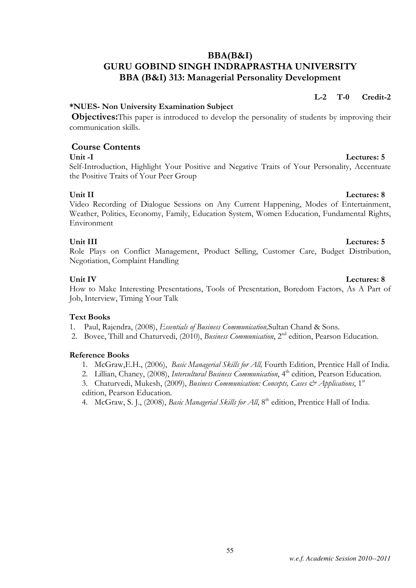### BBA(B&I) GURU GOBIND SINGH INDRAPRASTHA UNIVERSITY BBA (B&I) 313: Managerial Personality Development

### \*NUES- Non University Examination Subject

Objectives:This paper is introduced to develop the personality of students by improving their communication skills.

### Course Contents

Self-Introduction, Highlight Your Positive and Negative Traits of Your Personality, Accentuate the Positive Traits of Your Peer Group

Unit II Lectures: 8 Video Recording of Dialogue Sessions on Any Current Happening, Modes of Entertainment, Weather, Politics, Economy, Family, Education System, Women Education, Fundamental Rights, Environment

### Unit III Lectures: 5

Role Plays on Conflict Management, Product Selling, Customer Care, Budget Distribution, Negotiation, Complaint Handling

### Unit IV Lectures: 8

How to Make Interesting Presentations, Tools of Presentation, Boredom Factors, As A Part of Job, Interview, Timing Your Talk

### Text Books

1. Paul, Rajendra, (2008), Essentials of Business Communication,Sultan Chand & Sons.

2. Bovee, Thill and Chaturvedi, (2010), Business Communication, 2<sup>nd</sup> edition, Pearson Education.

### Reference Books

- 1. McGraw,E.H., (2006), Basic Managerial Skills for All, Fourth Edition, Prentice Hall of India.
- 2. Lillian, Chaney, (2008), *Intercultural Business Communication*, 4<sup>th</sup> edition, Pearson Education.
- 3. Chaturvedi, Mukesh, (2009), Business Communication: Concepts, Cases & Applications, 1<sup>st</sup> edition, Pearson Education.
- 4. McGraw, S. J., (2008), Basic Managerial Skills for All, 8<sup>th</sup> edition, Prentice Hall of India.

L-2 T-0 Credit-2

### Unit -I Lectures: 5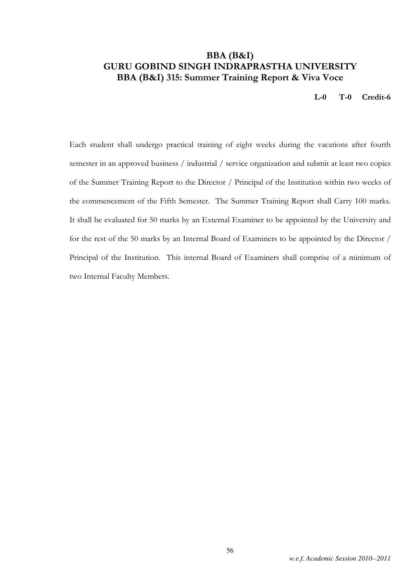### BBA (B&I) GURU GOBIND SINGH INDRAPRASTHA UNIVERSITY BBA (B&I) 315: Summer Training Report & Viva Voce

L-0 T-0 Credit-6

Each student shall undergo practical training of eight weeks during the vacations after fourth semester in an approved business / industrial / service organization and submit at least two copies of the Summer Training Report to the Director / Principal of the Institution within two weeks of the commencement of the Fifth Semester. The Summer Training Report shall Carry 100 marks. It shall be evaluated for 50 marks by an External Examiner to be appointed by the University and for the rest of the 50 marks by an Internal Board of Examiners to be appointed by the Director / Principal of the Institution. This internal Board of Examiners shall comprise of a minimum of two Internal Faculty Members.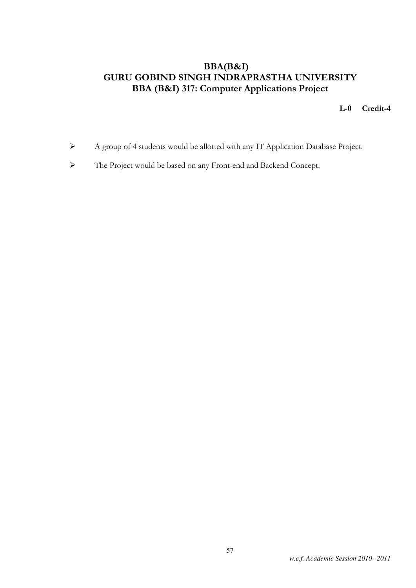## BBA(B&I) GURU GOBIND SINGH INDRAPRASTHA UNIVERSITY BBA (B&I) 317: Computer Applications Project

L-0 Credit-4

- A group of 4 students would be allotted with any IT Application Database Project.
- The Project would be based on any Front-end and Backend Concept.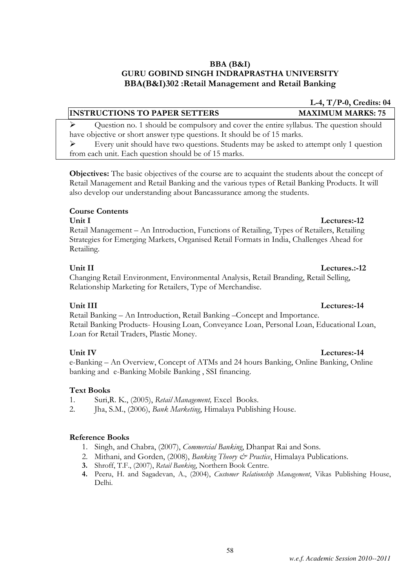### BBA (B&I) GURU GOBIND SINGH INDRAPRASTHA UNIVERSITY BBA(B&I)302 :Retail Management and Retail Banking

### INSTRUCTIONS TO PAPER SETTERS MAXIMUM MARKS: 75

 Question no. 1 should be compulsory and cover the entire syllabus. The question should have objective or short answer type questions. It should be of 15 marks.

 $\triangleright$  Every unit should have two questions. Students may be asked to attempt only 1 question from each unit. Each question should be of 15 marks.

Objectives: The basic objectives of the course are to acquaint the students about the concept of Retail Management and Retail Banking and the various types of Retail Banking Products. It will also develop our understanding about Bancassurance among the students.

### Course Contents

### Unit I Lectures:-12

Retail Management – An Introduction, Functions of Retailing, Types of Retailers, Retailing Strategies for Emerging Markets, Organised Retail Formats in India, Challenges Ahead for Retailing.

Changing Retail Environment, Environmental Analysis, Retail Branding, Retail Selling, Relationship Marketing for Retailers, Type of Merchandise.

Retail Banking – An Introduction, Retail Banking –Concept and Importance. Retail Banking Products- Housing Loan, Conveyance Loan, Personal Loan, Educational Loan, Loan for Retail Traders, Plastic Money.

### Unit IV Lectures: 14

e-Banking – An Overview, Concept of ATMs and 24 hours Banking, Online Banking, Online banking and e-Banking Mobile Banking , SSI financing.

### Text Books

- 1. Suri,R. K., (2005), Retail Management, Excel Books.
- 2. Jha, S.M., (2006), Bank Marketing, Himalaya Publishing House.

### Reference Books

- 1. Singh, and Chabra, (2007), Commercial Banking, Dhanpat Rai and Sons.
- 2. Mithani, and Gorden, (2008), Banking Theory & Practice, Himalaya Publications.
- 3. Shroff, T.F., (2007), Retail Banking, Northern Book Centre.
- 4. Peeru, H. and Sagadevan, A., (2004), Customer Relationship Management, Vikas Publishing House, Delhi.

### Unit III Lectures: 14

L-4, T/P-0, Credits: 04

## Unit II Lectures.:-12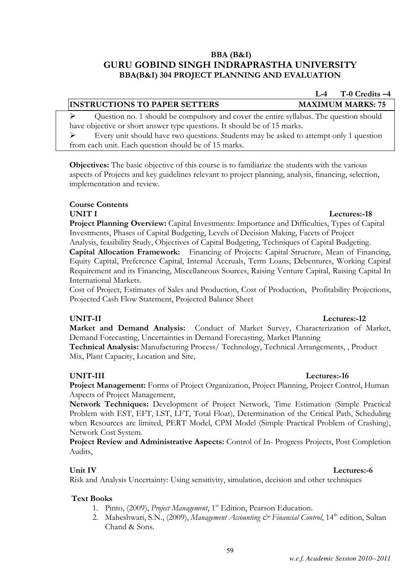### BBA (B&I) GURU GOBIND SINGH INDRAPRASTHA UNIVERSITY BBA(B&I) 304 PROJECT PLANNING AND EVALUATION

### INSTRUCTIONS TO PAPER SETTERS MAXIMUM MARKS: 75

 Question no. 1 should be compulsory and cover the entire syllabus. The question should have objective or short answer type questions. It should be of 15 marks.

 Every unit should have two questions. Students may be asked to attempt only 1 question from each unit. Each question should be of 15 marks.

Objectives: The basic objective of this course is to familiarize the students with the various aspects of Projects and key guidelines relevant to project planning, analysis, financing, selection, implementation and review.

### Course Contents

Project Planning Overview: Capital Investments: Importance and Difficulties, Types of Capital Investments, Phases of Capital Budgeting, Levels of Decision Making, Facets of Project Analysis, feasibility Study, Objectives of Capital Budgeting, Techniques of Capital Budgeting. Capital Allocation Framework: Financing of Projects: Capital Structure, Mean of Financing, Equity Capital, Preference Capital, Internal Accruals, Term Loans, Debentures, Working Capital Requirement and its Financing, Miscellaneous Sources, Raising Venture Capital, Raising Capital In International Markets.

Cost of Project, Estimates of Sales and Production, Cost of Production, Profitability Projections, Projected Cash Flow Statement, Projected Balance Sheet

### UNIT-II Lectures:-12

Market and Demand Analysis: Conduct of Market Survey, Characterization of Market, Demand Forecasting, Uncertainties in Demand Forecasting, Market Planning Technical Analysis: Manufacturing Process/ Technology, Technical Arrangements, , Product Mix, Plant Capacity, Location and Site,

### UNIT-III Lectures:-16

Project Management: Forms of Project Organization, Project Planning, Project Control, Human Aspects of Project Management,

Network Techniques: Development of Project Network, Time Estimation (Simple Practical Problem with EST, EFT, LST, LFT, Total Float), Determination of the Critical Path, Scheduling when Resources are limited, PERT Model, CPM Model (Simple Practical Problem of Crashing), Network Cost System.

Project Review and Administrative Aspects: Control of In- Progress Projects, Post Completion Audits,

Unit IV Lectures:-6

Text Books 1. Pinto, (2009), *Project Management*, 1<sup>st</sup> Edition, Pearson Education.

Risk and Analysis Uncertainty: Using sensitivity, simulation, decision and other techniques

2. Maheshwari, S.N., (2009), *Management Accounting*  $\mathcal{Q}^*$  *Financial Control*, 14<sup>th</sup> edition, Sultan Chand & Sons.

# L-4  $T-0$  Credits  $-4$

## UNIT I Lectures:-18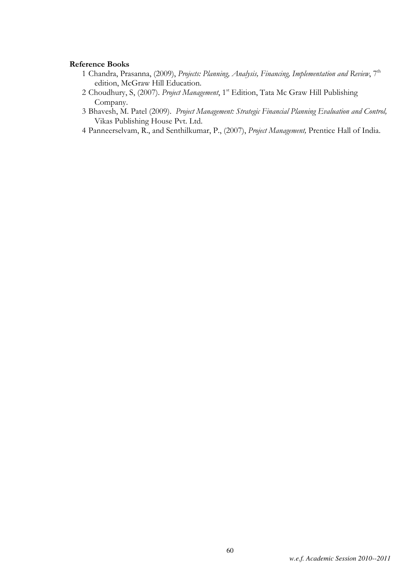### Reference Books

- 1 Chandra, Prasanna, (2009), Projects: Planning, Analysis, Financing, Implementation and Review,  $7<sup>th</sup>$ edition, McGraw Hill Education.
- 2 Choudhury, S, (2007). Project Management, 1<sup>st</sup> Edition, Tata Mc Graw Hill Publishing Company.
- 3 Bhavesh, M. Patel (2009). Project Management: Strategic Financial Planning Evaluation and Control, Vikas Publishing House Pvt. Ltd.
- 4 Panneerselvam, R., and Senthilkumar, P., (2007), Project Management, Prentice Hall of India.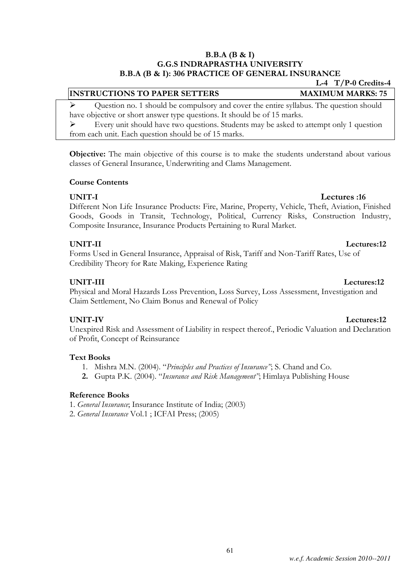### B.B.A (B & I) G.G.S INDRAPRASTHA UNIVERSITY B.B.A (B & I): 306 PRACTICE OF GENERAL INSURANCE

### INSTRUCTIONS TO PAPER SETTERS MAXIMUM MARKS: 75

 $\triangleright$  Ouestion no. 1 should be compulsory and cover the entire syllabus. The question should have objective or short answer type questions. It should be of 15 marks.

 $\triangleright$  Every unit should have two questions. Students may be asked to attempt only 1 question from each unit. Each question should be of 15 marks.

Objective: The main objective of this course is to make the students understand about various classes of General Insurance, Underwriting and Clams Management.

### Course Contents

### UNIT-I Lectures :16

Different Non Life Insurance Products: Fire, Marine, Property, Vehicle, Theft, Aviation, Finished Goods, Goods in Transit, Technology, Political, Currency Risks, Construction Industry, Composite Insurance, Insurance Products Pertaining to Rural Market.

### UNIT-II Lectures:12

Forms Used in General Insurance, Appraisal of Risk, Tariff and Non-Tariff Rates, Use of Credibility Theory for Rate Making, Experience Rating

Physical and Moral Hazards Loss Prevention, Loss Survey, Loss Assessment, Investigation and Claim Settlement, No Claim Bonus and Renewal of Policy

UNIT-IV Lectures:12 Unexpired Risk and Assessment of Liability in respect thereof., Periodic Valuation and Declaration of Profit, Concept of Reinsurance

### Text Books

- 1. Mishra M.N. (2004). "Principles and Practices of Insurance"; S. Chand and Co.
- 2. Gupta P.K. (2004). "Insurance and Risk Management"; Himlaya Publishing House

### Reference Books

- 1. General Insurance; Insurance Institute of India; (2003)
- 2. General Insurance Vol.1 ; ICFAI Press; (2005)

L-4 T/P-0 Credits-4

### UNIT-III Lectures:12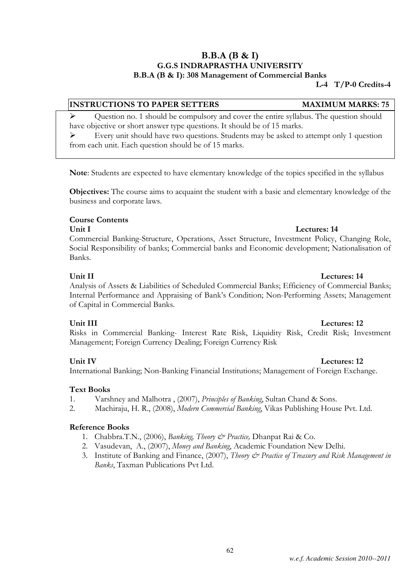### B.B.A (B & I) G.G.S INDRAPRASTHA UNIVERSITY B.B.A (B & I): 308 Management of Commercial Banks

L-4 T/P-0 Credits-4

### INSTRUCTIONS TO PAPER SETTERS MAXIMUM MARKS: 75

 Question no. 1 should be compulsory and cover the entire syllabus. The question should have objective or short answer type questions. It should be of 15 marks.

 Every unit should have two questions. Students may be asked to attempt only 1 question from each unit. Each question should be of 15 marks.

Note: Students are expected to have elementary knowledge of the topics specified in the syllabus

Objectives: The course aims to acquaint the student with a basic and elementary knowledge of the business and corporate laws.

### Course Contents

### Unit I Lectures: 14

Commercial Banking-Structure, Operations, Asset Structure, Investment Policy, Changing Role, Social Responsibility of banks; Commercial banks and Economic development; Nationalisation of Banks.

# Unit II Lectures: 14

Analysis of Assets & Liabilities of Scheduled Commercial Banks; Efficiency of Commercial Banks; Internal Performance and Appraising of Bank's Condition; Non-Performing Assets; Management of Capital in Commercial Banks.

### Unit III Lectures: 12

Risks in Commercial Banking- Interest Rate Risk, Liquidity Risk, Credit Risk; Investment Management; Foreign Currency Dealing; Foreign Currency Risk

International Banking; Non-Banking Financial Institutions; Management of Foreign Exchange.

### Text Books

- 1. Varshney and Malhotra , (2007), Principles of Banking, Sultan Chand & Sons.
- 2. Machiraju, H. R., (2008), Modern Commercial Banking, Vikas Publishing House Pvt. Ltd.

### Reference Books

- 1. Chabbra.T.N., (2006), Banking, Theory & Practice, Dhanpat Rai & Co.
- 2. Vasudevan, A., (2007), Money and Banking, Academic Foundation New Delhi.
- 3. Institute of Banking and Finance, (2007), Theory & Practice of Treasury and Risk Management in Banks, Taxman Publications Pvt Ltd.

### Unit IV Lectures: 12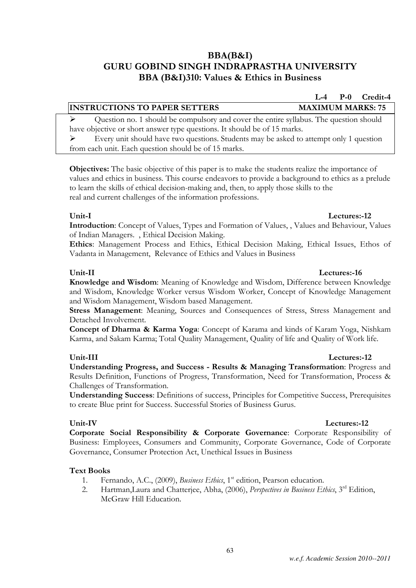## BBA(B&I) GURU GOBIND SINGH INDRAPRASTHA UNIVERSITY BBA (B&I)310: Values & Ethics in Business

### INSTRUCTIONS TO PAPER SETTERS MAXIMUM MARKS: 75

 $\triangleright$  Question no. 1 should be compulsory and cover the entire syllabus. The question should have objective or short answer type questions. It should be of 15 marks.

 $\triangleright$  Every unit should have two questions. Students may be asked to attempt only 1 question from each unit. Each question should be of 15 marks.

Objectives: The basic objective of this paper is to make the students realize the importance of values and ethics in business. This course endeavors to provide a background to ethics as a prelude to learn the skills of ethical decision-making and, then, to apply those skills to the real and current challenges of the information professions.

### Unit-I Lectures:-12

Introduction: Concept of Values, Types and Formation of Values, , Values and Behaviour, Values of Indian Managers. , Ethical Decision Making.

Ethics: Management Process and Ethics, Ethical Decision Making, Ethical Issues, Ethos of Vadanta in Management, Relevance of Ethics and Values in Business

Knowledge and Wisdom: Meaning of Knowledge and Wisdom, Difference between Knowledge and Wisdom, Knowledge Worker versus Wisdom Worker, Concept of Knowledge Management and Wisdom Management, Wisdom based Management.

Stress Management: Meaning, Sources and Consequences of Stress, Stress Management and Detached Involvement.

Concept of Dharma & Karma Yoga: Concept of Karama and kinds of Karam Yoga, Nishkam Karma, and Sakam Karma; Total Quality Management, Quality of life and Quality of Work life.

### Unit-III Lectures:-12

Understanding Progress, and Success - Results & Managing Transformation: Progress and Results Definition, Functions of Progress, Transformation, Need for Transformation, Process & Challenges of Transformation.

Understanding Success: Definitions of success, Principles for Competitive Success, Prerequisites to create Blue print for Success. Successful Stories of Business Gurus.

Corporate Social Responsibility & Corporate Governance: Corporate Responsibility of Business: Employees, Consumers and Community, Corporate Governance, Code of Corporate Governance, Consumer Protection Act, Unethical Issues in Business

### Text Books

- 1. Fernando, A.C., (2009), *Business Ethics*, 1<sup>st</sup> edition, Pearson education.
- 2. Hartman, Laura and Chatterjee, Abha, (2006), *Perspectives in Business Ethics*, 3<sup>rd</sup> Edition, McGraw Hill Education.

63

### Unit-II Lectures:-16

### Unit-IV Lectures:-12

## L-4 P-0 Credit-4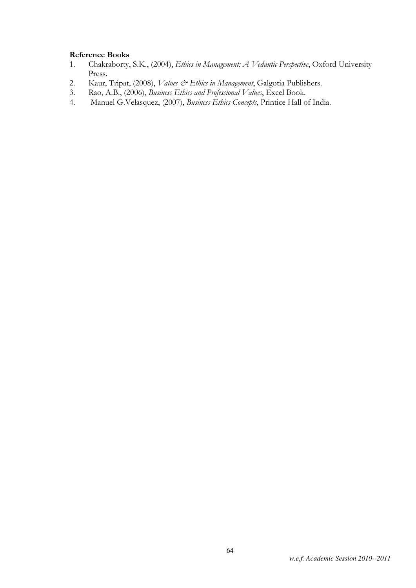### Reference Books

- 1. Chakraborty, S.K., (2004), Ethics in Management: A Vedantic Perspective, Oxford University Press.
- 2. Kaur, Tripat, (2008), Values & Ethics in Management, Galgotia Publishers.
- 3. Rao, A.B., (2006), Business Ethics and Professional Values, Excel Book.
- 4. Manuel G.Velasquez, (2007), Business Ethics Concepts, Printice Hall of India.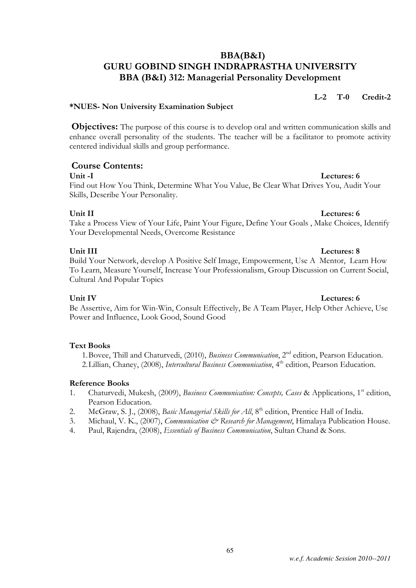### BBA(B&I) GURU GOBIND SINGH INDRAPRASTHA UNIVERSITY BBA (B&I) 312: Managerial Personality Development

L-2 T-0 Credit-2

### \*NUES- Non University Examination Subject

**Objectives:** The purpose of this course is to develop oral and written communication skills and enhance overall personality of the students. The teacher will be a facilitator to promote activity centered individual skills and group performance.

### Course Contents:

### Unit -I Lectures: 6

Find out How You Think, Determine What You Value, Be Clear What Drives You, Audit Your Skills, Describe Your Personality.

### Unit II Lectures: 6

Take a Process View of Your Life, Paint Your Figure, Define Your Goals , Make Choices, Identify Your Developmental Needs, Overcome Resistance

### Unit III Lectures: 8

Build Your Network, develop A Positive Self Image, Empowerment, Use A Mentor, Learn How To Learn, Measure Yourself, Increase Your Professionalism, Group Discussion on Current Social, Cultural And Popular Topics

### Unit IV Lectures: 6

Be Assertive, Aim for Win-Win, Consult Effectively, Be A Team Player, Help Other Achieve, Use Power and Influence, Look Good, Sound Good

### Text Books

1. Bovee, Thill and Chaturvedi, (2010), Business Communication, 2<sup>nd</sup> edition, Pearson Education. 2. Lillian, Chaney, (2008), *Intercultural Business Communication*, 4<sup>th</sup> edition, Pearson Education.

### Reference Books

- 1. Chaturvedi, Mukesh, (2009), Business Communication: Concepts, Cases & Applications, 1<sup>st</sup> edition, Pearson Education.
- 2. McGraw, S. J., (2008), Basic Managerial Skills for All, 8<sup>th</sup> edition, Prentice Hall of India.
- 3. Michaul, V. K., (2007), *Communication & Research for Management*, Himalaya Publication House.
- 4. Paul, Rajendra, (2008), Essentials of Business Communication, Sultan Chand & Sons.